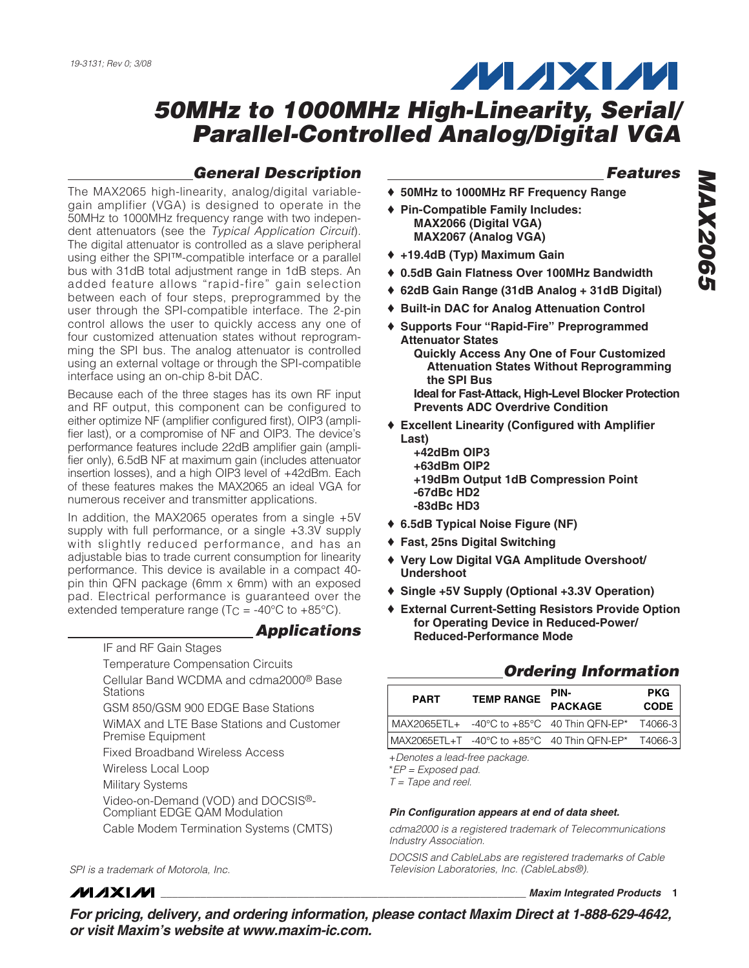# **MAXM**

### **50MHz to 1000MHz High-Linearity, Serial/ Parallel-Controlled Analog/Digital VGA**

#### **General Description**

The MAX2065 high-linearity, analog/digital variablegain amplifier (VGA) is designed to operate in the 50MHz to 1000MHz frequency range with two independent attenuators (see the Typical Application Circuit). The digital attenuator is controlled as a slave peripheral using either the SPI™-compatible interface or a parallel bus with 31dB total adjustment range in 1dB steps. An added feature allows "rapid-fire" gain selection between each of four steps, preprogrammed by the user through the SPI-compatible interface. The 2-pin control allows the user to quickly access any one of four customized attenuation states without reprogramming the SPI bus. The analog attenuator is controlled using an external voltage or through the SPI-compatible interface using an on-chip 8-bit DAC.

Because each of the three stages has its own RF input and RF output, this component can be configured to either optimize NF (amplifier configured first), OIP3 (amplifier last), or a compromise of NF and OIP3. The device's performance features include 22dB amplifier gain (amplifier only), 6.5dB NF at maximum gain (includes attenuator insertion losses), and a high OIP3 level of +42dBm. Each of these features makes the MAX2065 an ideal VGA for numerous receiver and transmitter applications.

In addition, the MAX2065 operates from a single +5V supply with full performance, or a single +3.3V supply with slightly reduced performance, and has an adjustable bias to trade current consumption for linearity performance. This device is available in a compact 40 pin thin QFN package (6mm x 6mm) with an exposed pad. Electrical performance is guaranteed over the extended temperature range ( $T<sub>C</sub>$  = -40°C to +85°C).

IF and RF Gain Stages

Temperature Compensation Circuits

Cellular Band WCDMA and cdma2000® Base **Stations** 

**Applications**

GSM 850/GSM 900 EDGE Base Stations

WiMAX and LTE Base Stations and Customer Premise Equipment

Fixed Broadband Wireless Access

Wireless Local Loop

Military Systems

Video-on-Demand (VOD) and DOCSIS®- Compliant EDGE QAM Modulation

Cable Modem Termination Systems (CMTS)

SPI is a trademark of Motorola, Inc.

*IVI A* XI*IV*I

**Features**

- ♦ **50MHz to 1000MHz RF Frequency Range**
- ♦ **Pin-Compatible Family Includes: MAX2066 (Digital VGA) MAX2067 (Analog VGA)**
- ♦ **+19.4dB (Typ) Maximum Gain**
- ♦ **0.5dB Gain Flatness Over 100MHz Bandwidth**
- ♦ **62dB Gain Range (31dB Analog + 31dB Digital)**
- ♦ **Built-in DAC for Analog Attenuation Control**
- ♦ **Supports Four "Rapid-Fire" Preprogrammed Attenuator States Quickly Access Any One of Four Customized Attenuation States Without Reprogramming the SPI Bus Ideal for Fast-Attack, High-Level Blocker Protection Prevents ADC Overdrive Condition**
- ♦ **Excellent Linearity (Configured with Amplifier Last)**
	- **+42dBm OIP3 +63dBm OIP2 +19dBm Output 1dB Compression Point -67dBc HD2 -83dBc HD3**
- ♦ **6.5dB Typical Noise Figure (NF)**
- ♦ **Fast, 25ns Digital Switching**
- ♦ **Very Low Digital VGA Amplitude Overshoot/ Undershoot**
- ♦ **Single +5V Supply (Optional +3.3V Operation)**
- ♦ **External Current-Setting Resistors Provide Option for Operating Device in Reduced-Power/ Reduced-Performance Mode**

#### **Ordering Information**

| <b>PART</b> | <b>TEMP RANGE</b> | PIN-<br><b>PACKAGE</b>                              | <b>PKG</b><br><b>CODE</b> |
|-------------|-------------------|-----------------------------------------------------|---------------------------|
|             |                   | MAX2065ETL+ -40°C to +85°C 40 Thin QFN-EP* T4066-3  |                           |
|             |                   | MAX2065ETL+T -40°C to +85°C 40 Thin QFN-EP* T4066-3 |                           |

+Denotes a lead-free package.

\*EP = Exposed pad.

 $T = \text{Tape}$  and reel.

#### **Pin Configuration appears at end of data sheet.**

cdma2000 is a registered trademark of Telecommunications Industry Association.

DOCSIS and CableLabs are registered trademarks of Cable Television Laboratories, Inc. (CableLabs®).

**\_\_\_\_\_\_\_\_\_\_\_\_\_\_\_\_\_\_\_\_\_\_\_\_\_\_\_\_\_\_\_\_\_\_\_\_\_\_\_\_\_\_\_\_\_\_\_\_\_\_\_\_\_\_\_\_\_\_\_\_\_\_\_\_ Maxim Integrated Products 1**

**For pricing, delivery, and ordering information, please contact Maxim Direct at 1-888-629-4642, or visit Maxim's website at www.maxim-ic.com.**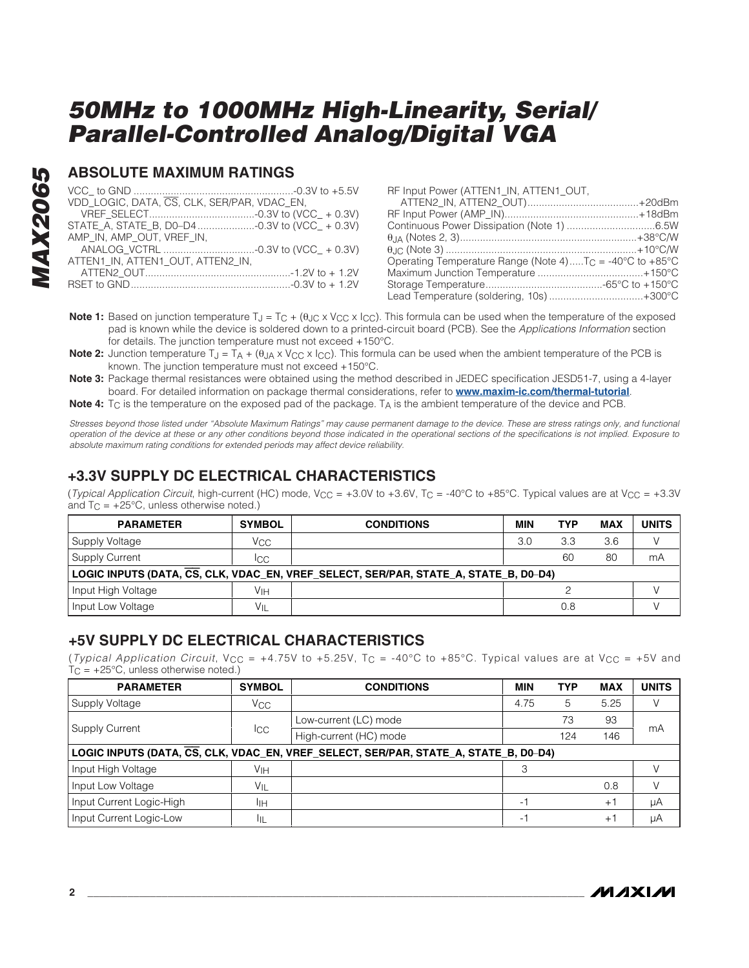#### **ABSOLUTE MAXIMUM RATINGS**

| VDD_LOGIC, DATA, CS, CLK, SER/PAR, VDAC_EN, |
|---------------------------------------------|
|                                             |
|                                             |
| AMP IN. AMP OUT. VREF IN.                   |
|                                             |
| ATTEN1 IN. ATTEN1 OUT. ATTEN2 IN.           |
|                                             |
|                                             |

| RF Input Power (ATTEN1 IN, ATTEN1 OUT,                              |  |
|---------------------------------------------------------------------|--|
|                                                                     |  |
|                                                                     |  |
|                                                                     |  |
|                                                                     |  |
|                                                                     |  |
| Operating Temperature Range (Note 4)T <sub>C</sub> = -40°C to +85°C |  |
|                                                                     |  |
|                                                                     |  |
| Lead Temperature (soldering, 10s) +300°C                            |  |

- **Note 1:** Based on junction temperature T<sub>J</sub> = T<sub>C</sub> + (θ<sub>JC</sub> x V<sub>CC</sub> x I<sub>CC</sub>). This formula can be used when the temperature of the exposed pad is known while the device is soldered down to a printed-circuit board (PCB). See the Applications Information section for details. The junction temperature must not exceed +150°C.
- **Note 2:** Junction temperature T<sub>J</sub> = T<sub>A</sub> + (θ<sub>JA</sub> x V<sub>CC</sub> x I<sub>CC</sub>). This formula can be used when the ambient temperature of the PCB is known. The junction temperature must not exceed +150°C.
- **Note 3:** Package thermal resistances were obtained using the method described in JEDEC specification JESD51-7, using a 4-layer board. For detailed information on package thermal considerations, refer to **www.maxim-ic.com/thermal-tutorial**.
- **Note 4:** T<sub>C</sub> is the temperature on the exposed pad of the package. T<sub>A</sub> is the ambient temperature of the device and PCB.

Stresses beyond those listed under "Absolute Maximum Ratings" may cause permanent damage to the device. These are stress ratings only, and functional operation of the device at these or any other conditions beyond those indicated in the operational sections of the specifications is not implied. Exposure to absolute maximum rating conditions for extended periods may affect device reliability.

#### **+3.3V SUPPLY DC ELECTRICAL CHARACTERISTICS**

(Typical Application Circuit, high-current (HC) mode,  $V_{CC} = +3.0V$  to +3.6V, T<sub>C</sub> = -40°C to +85°C. Typical values are at  $V_{CC} = +3.3V$ and  $T_C = +25^{\circ}C$ , unless otherwise noted.)

| <b>PARAMETER</b>                                                                     | <b>SYMBOL</b>   | <b>CONDITIONS</b> | <b>MIN</b> | <b>TYP</b> | <b>MAX</b> | <b>UNITS</b> |  |
|--------------------------------------------------------------------------------------|-----------------|-------------------|------------|------------|------------|--------------|--|
| Supply Voltage                                                                       | Vcc             |                   | 3.0        | 3.3        | 3.6        |              |  |
| <b>Supply Current</b>                                                                | ICC             |                   |            | 60         | 80         | mA           |  |
| LOGIC INPUTS (DATA, CS, CLK, VDAC_EN, VREF_SELECT, SER/PAR, STATE_A, STATE_B, D0–D4) |                 |                   |            |            |            |              |  |
| Input High Voltage                                                                   | V <sub>IH</sub> |                   |            |            |            |              |  |
| Input Low Voltage                                                                    | VIL             |                   |            | 0.8        |            |              |  |

#### **+5V SUPPLY DC ELECTRICAL CHARACTERISTICS**

(Typical Application Circuit, V<sub>CC</sub> = +4.75V to +5.25V, T<sub>C</sub> = -40°C to +85°C. Typical values are at V<sub>CC</sub> = +5V and  $T_{\text{C}} = +25^{\circ}\text{C}$ , unless otherwise noted.)

| <b>PARAMETER</b>                                                                     | <b>SYMBOL</b>     | <b>CONDITIONS</b>      | <b>MIN</b>    | <b>TYP</b> | <b>MAX</b> | <b>UNITS</b> |  |
|--------------------------------------------------------------------------------------|-------------------|------------------------|---------------|------------|------------|--------------|--|
| Supply Voltage                                                                       | $V_{\rm CC}$      |                        | 4.75          | 5          | 5.25       |              |  |
| <b>Supply Current</b>                                                                | lcc.              | Low-current (LC) mode  |               | 73         | 93         | mA           |  |
|                                                                                      |                   | High-current (HC) mode |               | 124        | 146        |              |  |
| LOGIC INPUTS (DATA, CS, CLK, VDAC_EN, VREF_SELECT, SER/PAR, STATE_A, STATE_B, D0-D4) |                   |                        |               |            |            |              |  |
| Input High Voltage                                                                   | Vıн               |                        |               |            |            |              |  |
| Input Low Voltage                                                                    | $V_{\mathsf{IL}}$ |                        |               |            | 0.8        |              |  |
| Input Current Logic-High                                                             | IІH               |                        | $\sim$ $\sim$ |            | $+1$       | μA           |  |
| Input Current Logic-Low                                                              | IЩ                |                        | - 1           |            | $+1$       | μA           |  |

**MAXIM**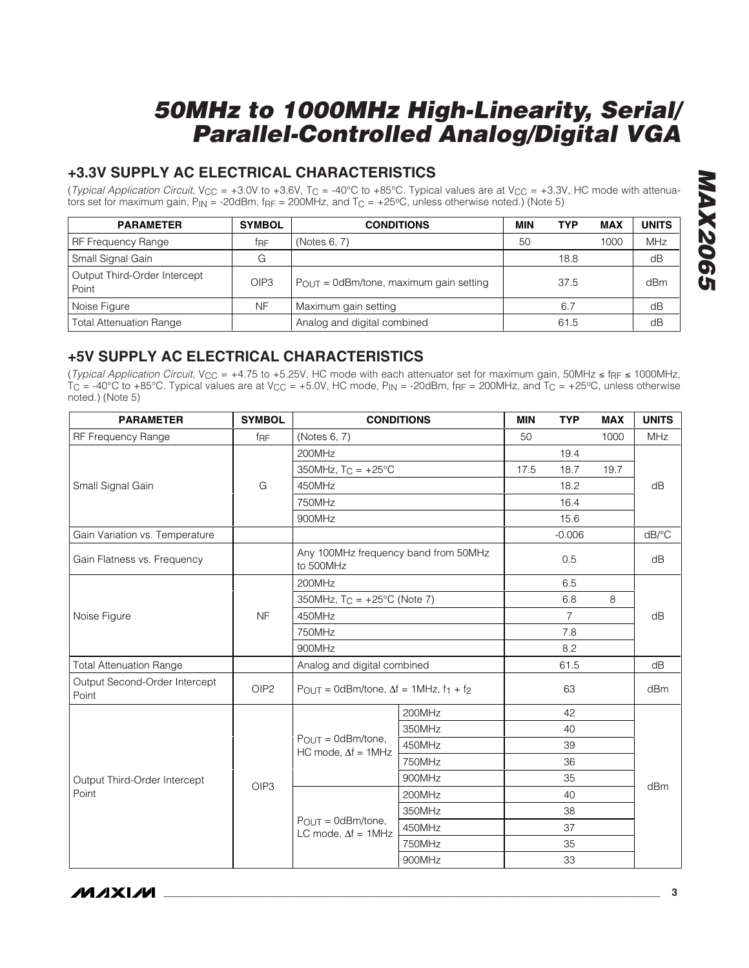#### **+3.3V SUPPLY AC ELECTRICAL CHARACTERISTICS**

(*Typical Application Circuit*, V<sub>CC</sub> = +3.0V to +3.6V, T<sub>C</sub> = -40°C to +85°C. Typical values are at V<sub>CC</sub> = +3.3V, HC mode with attenuators set for maximum gain,  $P_{IN}$  = -20dBm,  $f_{RF}$  = 200MHz, and  $T_C$  = +25°C, unless otherwise noted.) (Note 5)

| <b>PARAMETER</b>                      | <b>SYMBOL</b>    | <b>CONDITIONS</b>                                   | MIN | <b>TYP</b> | <b>MAX</b> | <b>UNITS</b> |
|---------------------------------------|------------------|-----------------------------------------------------|-----|------------|------------|--------------|
| RF Frequency Range                    | fre              | (Notes 6, 7)                                        | 50  |            | 1000       | <b>MHz</b>   |
| Small Signal Gain                     | G                |                                                     |     | 18.8       |            | dB           |
| Output Third-Order Intercept<br>Point | OIP <sub>3</sub> | $P_{\text{OUT}} = 0$ dBm/tone, maximum gain setting |     | 37.5       |            | dBm          |
| Noise Figure                          | <b>NF</b>        | Maximum gain setting                                |     | 6.7        |            | dB           |
| <b>Total Attenuation Range</b>        |                  | Analog and digital combined                         |     | 61.5       |            | dB           |

#### **+5V SUPPLY AC ELECTRICAL CHARACTERISTICS**

(Typical Application Circuit, V<sub>CC</sub> = +4.75 to +5.25V, HC mode with each attenuator set for maximum gain, 50MHz ≤ fRF ≤ 1000MHz,  $TC = -40^{\circ}C$  to +85°C. Typical values are at V<sub>CC</sub> = +5.0V, HC mode, P<sub>IN</sub> = -20dBm, f<sub>RF</sub> = 200MHz, and  $TC = +25^{\circ}C$ , unless otherwise noted.) (Note 5)

| <b>PARAMETER</b>                       | <b>SYMBOL</b>    | <b>CONDITIONS</b>                                       |        | <b>MIN</b> | <b>TYP</b> | <b>MAX</b> | <b>UNITS</b>          |  |
|----------------------------------------|------------------|---------------------------------------------------------|--------|------------|------------|------------|-----------------------|--|
| RF Frequency Range                     | f <sub>RF</sub>  | (Notes 6, 7)                                            |        | 50         |            | 1000       | <b>MHz</b>            |  |
|                                        |                  | 200MHz                                                  |        |            | 19.4       |            |                       |  |
|                                        |                  | 350MHz, $T_C = +25^{\circ}C$                            |        | 17.5       | 18.7       | 19.7       |                       |  |
| Small Signal Gain                      | G                | 450MHz                                                  |        |            | 18.2       |            | dB                    |  |
|                                        |                  | 750MHz                                                  |        |            | 16.4       |            |                       |  |
|                                        |                  | 900MHz                                                  |        |            | 15.6       |            |                       |  |
| Gain Variation vs. Temperature         |                  |                                                         |        |            | $-0.006$   |            | $dB$ <sup>o</sup> $C$ |  |
| Gain Flatness vs. Frequency            |                  | Any 100MHz frequency band from 50MHz<br>to 500MHz       |        |            | 0.5        |            | dB                    |  |
|                                        |                  | 200MHz                                                  |        |            | 6.5        |            |                       |  |
|                                        |                  | 350MHz, $T_C = +25^{\circ}C$ (Note 7)                   |        |            | 6.8        | 8          | dB                    |  |
| Noise Figure                           | <b>NF</b>        | 450MHz                                                  |        |            | 7          |            |                       |  |
|                                        |                  | 750MHz                                                  |        |            | 7.8        |            |                       |  |
|                                        |                  | 900MHz                                                  |        |            | 8.2        |            |                       |  |
| <b>Total Attenuation Range</b>         |                  | Analog and digital combined                             |        |            | 61.5       |            | dB                    |  |
| Output Second-Order Intercept<br>Point | OIP <sub>2</sub> | $P_{OUT} = 0$ dBm/tone, $\Delta f = 1$ MHz, $f_1 + f_2$ |        |            | 63         |            | dBm                   |  |
|                                        |                  |                                                         | 200MHz |            | 42         |            |                       |  |
|                                        |                  |                                                         | 350MHz |            | 40         |            |                       |  |
|                                        |                  | $P_{OUT} = 0$ dBm/tone,<br>HC mode, $\Delta f = 1$ MHz  | 450MHz |            | 39         |            |                       |  |
|                                        |                  |                                                         | 750MHz |            | 36         |            |                       |  |
| Output Third-Order Intercept           | OIP3             |                                                         | 900MHz |            | 35         |            |                       |  |
| Point                                  |                  |                                                         | 200MHz |            | 40         |            | dBm                   |  |
|                                        |                  |                                                         | 350MHz |            | 38         |            |                       |  |
|                                        |                  | $P_{OUT} = 0$ dBm/tone,<br>LC mode, $\Delta f = 1$ MHz  | 450MHz |            | 37         |            |                       |  |
|                                        |                  |                                                         | 750MHz |            | 35         |            |                       |  |
|                                        |                  | 900MHz                                                  |        |            | 33         |            |                       |  |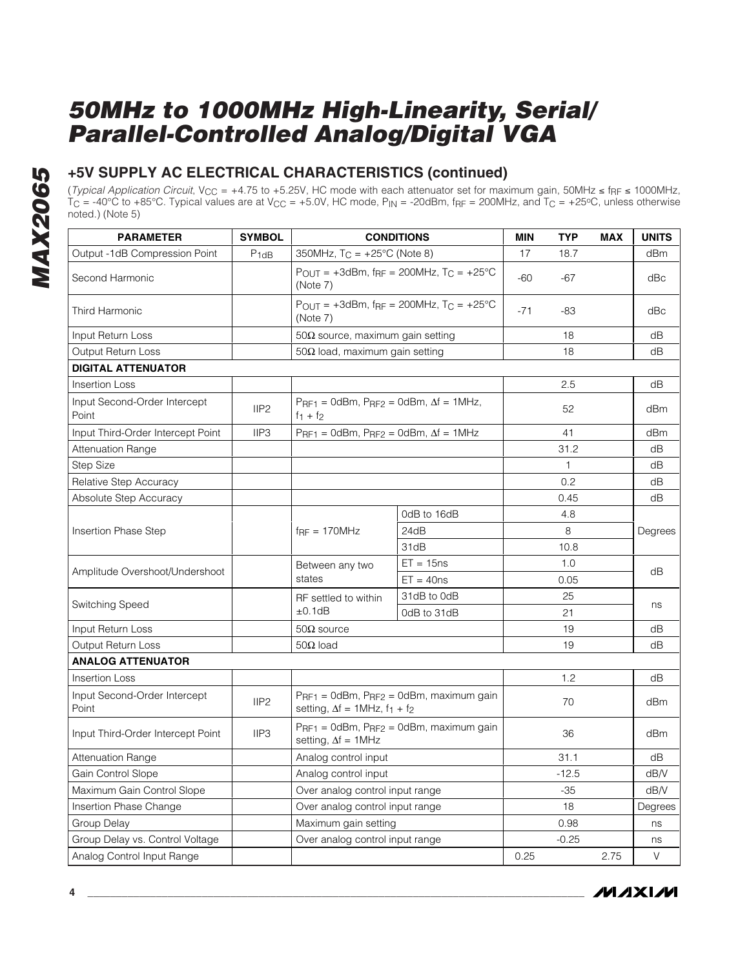#### **+5V SUPPLY AC ELECTRICAL CHARACTERISTICS (continued)**

(*Typical Application Circuit*, V<sub>CC</sub> = +4.75 to +5.25V, HC mode with each attenuator set for maximum gain, 50MHz ≤ f<sub>RF</sub> ≤ 1000MHz,  $TC = -40^{\circ}\text{C}$  to +85°C. Typical values are at V $_{CC}$  = +5.0V, HC mode, P<sub>IN</sub> = -20dBm, f $_{RF}$  = 200MHz, and T $_{C}$  = +25°C, unless otherwise noted.) (Note 5)

| <b>PARAMETER</b>                      | <b>SYMBOL</b>    | <b>CONDITIONS</b>                                                                |                                                                             | <b>MIN</b> | <b>TYP</b> | <b>MAX</b> | <b>UNITS</b> |
|---------------------------------------|------------------|----------------------------------------------------------------------------------|-----------------------------------------------------------------------------|------------|------------|------------|--------------|
| Output -1dB Compression Point         | $P_{1dB}$        | 350MHz, $T_C = +25^{\circ}C$ (Note 8)                                            |                                                                             | 17         | 18.7       |            | dBm          |
| Second Harmonic                       |                  | $P_{OUT} = +3dBm$ , f <sub>RF</sub> = 200MHz, T <sub>C</sub> = +25°C<br>(Note 7) |                                                                             | $-60$      | $-67$      |            | dBc          |
| Third Harmonic                        |                  | (Note 7)                                                                         | POUT = $+3d$ Bm, f <sub>RF</sub> = 200MHz, T <sub>C</sub> = $+25^{\circ}$ C | $-71$      | -83        |            | dBc          |
| Input Return Loss                     |                  | $50\Omega$ source, maximum gain setting                                          |                                                                             |            | 18         |            | dB           |
| <b>Output Return Loss</b>             |                  | 50Ω load, maximum gain setting                                                   |                                                                             |            | 18         |            | dB           |
| <b>DIGITAL ATTENUATOR</b>             |                  |                                                                                  |                                                                             |            |            |            |              |
| <b>Insertion Loss</b>                 |                  |                                                                                  |                                                                             |            | 2.5        |            | dB           |
| Input Second-Order Intercept<br>Point | IIP <sub>2</sub> | $PrF1 = OdBm$ , $PrF2 = OdBm$ , $\Delta f = 1MHz$ ,<br>$f_1 + f_2$               |                                                                             |            | 52         |            | dBm          |
| Input Third-Order Intercept Point     | IIP <sub>3</sub> | $P_{RF1} = 0$ dBm, $P_{RF2} = 0$ dBm, $\Delta f = 1$ MHz                         |                                                                             |            | 41         |            | dBm          |
| <b>Attenuation Range</b>              |                  |                                                                                  |                                                                             |            | 31.2       |            | dB           |
| <b>Step Size</b>                      |                  |                                                                                  |                                                                             |            | 1          |            | dB           |
| Relative Step Accuracy                |                  |                                                                                  |                                                                             |            | 0.2        |            | dB           |
| Absolute Step Accuracy                |                  |                                                                                  |                                                                             |            | 0.45       |            | dB           |
| <b>Insertion Phase Step</b>           |                  |                                                                                  | 0dB to 16dB                                                                 |            | 4.8        |            |              |
|                                       |                  | $f_{\text{RF}} = 170 \text{MHz}$                                                 | 24dB                                                                        |            | 8          |            | Degrees      |
|                                       |                  |                                                                                  | 31dB                                                                        |            | 10.8       |            |              |
| Amplitude Overshoot/Undershoot        | Between any two  |                                                                                  | $ET = 15ns$                                                                 |            | 1.0        |            | dB           |
|                                       |                  | states<br>$ET = 40ns$                                                            |                                                                             |            | 0.05       |            |              |
| Switching Speed                       |                  | RF settled to within                                                             | 31dB to 0dB                                                                 |            | 25         |            | ns           |
|                                       |                  | ±0.1dB<br>0dB to 31dB                                                            |                                                                             |            | 21         |            |              |
| Input Return Loss                     |                  | $50\Omega$ source                                                                |                                                                             |            | 19         |            | dB           |
| <b>Output Return Loss</b>             |                  | $50\Omega$ load                                                                  |                                                                             |            | 19         |            | dB           |
| <b>ANALOG ATTENUATOR</b>              |                  |                                                                                  |                                                                             |            |            |            |              |
| <b>Insertion Loss</b>                 |                  |                                                                                  |                                                                             |            | 1.2        |            | dB           |
| Input Second-Order Intercept<br>Point | IIP <sub>2</sub> | setting, $\Delta f = 1$ MHz, $f_1 + f_2$                                         | $PrF1 = OdBm$ , $PrF2 = OdBm$ , maximum gain                                |            | 70         |            | dBm          |
| Input Third-Order Intercept Point     | IIP3             | setting, $\Delta f = 1$ MHz                                                      | P <sub>RF1</sub> = 0dBm, P <sub>RF2</sub> = 0dBm, maximum gain              |            | 36         |            | dBm          |
| <b>Attenuation Range</b>              |                  | Analog control input                                                             |                                                                             |            | 31.1       |            | dB           |
| Gain Control Slope                    |                  | Analog control input                                                             |                                                                             |            | $-12.5$    |            | dB/V         |
| Maximum Gain Control Slope            |                  | Over analog control input range                                                  |                                                                             |            | $-35$      |            | dB/V         |
| Insertion Phase Change                |                  | Over analog control input range                                                  |                                                                             |            | 18         |            | Degrees      |
| Group Delay                           |                  | Maximum gain setting                                                             |                                                                             |            | 0.98       |            | ns           |
| Group Delay vs. Control Voltage       |                  | Over analog control input range                                                  |                                                                             |            | $-0.25$    |            | ns           |
| Analog Control Input Range            |                  |                                                                                  |                                                                             | 0.25       |            | 2.75       | $\vee$       |

**MAXIM**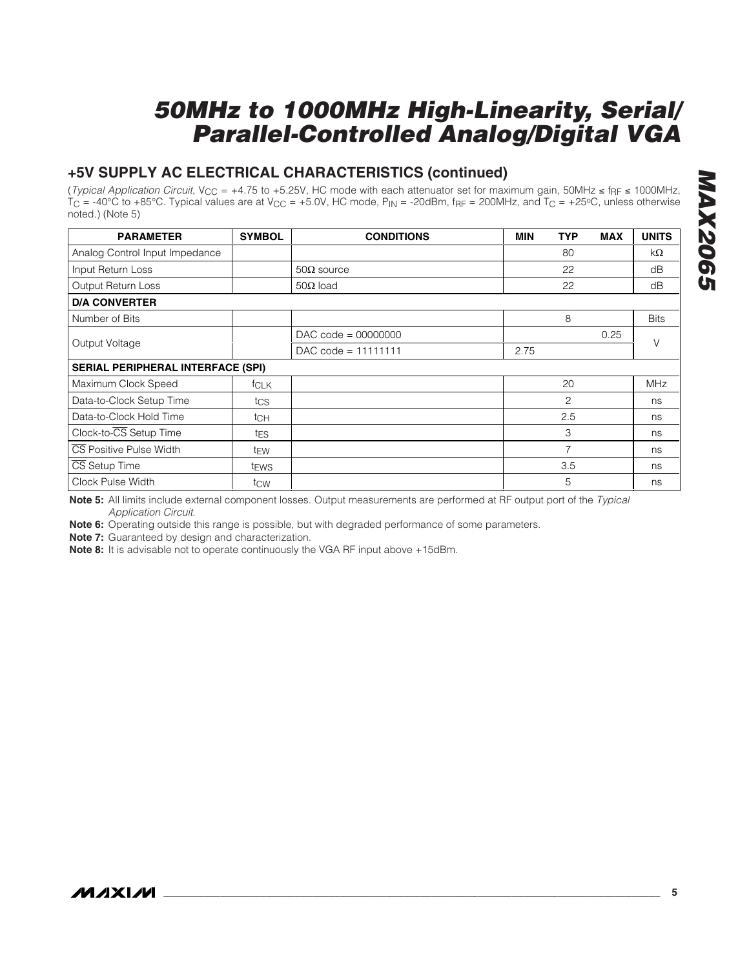#### **+5V SUPPLY AC ELECTRICAL CHARACTERISTICS (continued)**

(Typical Application Circuit, V<sub>CC</sub> = +4.75 to +5.25V, HC mode with each attenuator set for maximum gain, 50MHz  $\leq$  f<sub>RF</sub>  $\leq$  1000MHz,  $T_{\rm C}$  = -40°C to +85°C. Typical values are at V<sub>CC</sub> = +5.0V, HC mode,  $P_{\rm IN}$  = -20dBm, f $_{\rm RF}$  = 200MHz, and  $T_{\rm C}$  = +25°C, unless otherwise noted.) (Note 5)

| <b>PARAMETER</b>                         | <b>SYMBOL</b>    | <b>CONDITIONS</b>     | <b>MIN</b> | <b>TYP</b> | <b>MAX</b> | <b>UNITS</b> |  |
|------------------------------------------|------------------|-----------------------|------------|------------|------------|--------------|--|
| Analog Control Input Impedance           |                  |                       |            | 80         |            | kΩ           |  |
| Input Return Loss                        |                  | $50\Omega$ source     |            | 22         |            | dB           |  |
| Output Return Loss                       |                  | $50\Omega$ load       |            | 22         |            | dB           |  |
| <b>D/A CONVERTER</b>                     |                  |                       |            |            |            |              |  |
| Number of Bits                           |                  |                       |            | 8          |            | <b>Bits</b>  |  |
|                                          |                  | $DAC code = 00000000$ |            |            | 0.25       |              |  |
| Output Voltage                           |                  | $DAC code = 11111111$ | 2.75       |            |            | V            |  |
| <b>SERIAL PERIPHERAL INTERFACE (SPI)</b> |                  |                       |            |            |            |              |  |
| Maximum Clock Speed                      | <b>f</b> CLK     |                       |            | 20         |            | <b>MHz</b>   |  |
| Data-to-Clock Setup Time                 | tcs              |                       |            | 2          |            | ns           |  |
| Data-to-Clock Hold Time                  | tch              |                       |            | 2.5        |            | ns           |  |
| Clock-to-CS Setup Time                   | tes              |                       |            | 3          |            | ns           |  |
| CS Positive Pulse Width                  | t <sub>EW</sub>  |                       |            | 7          |            | ns           |  |
| CS Setup Time                            | t <sub>EWS</sub> |                       |            | 3.5        |            | ns           |  |
| Clock Pulse Width                        | tcw              |                       |            | 5          |            | ns           |  |

**Note 5:** All limits include external component losses. Output measurements are performed at RF output port of the Typical Application Circuit.

**Note 6:** Operating outside this range is possible, but with degraded performance of some parameters.

**Note 7:** Guaranteed by design and characterization.

**Note 8:** It is advisable not to operate continuously the VGA RF input above +15dBm.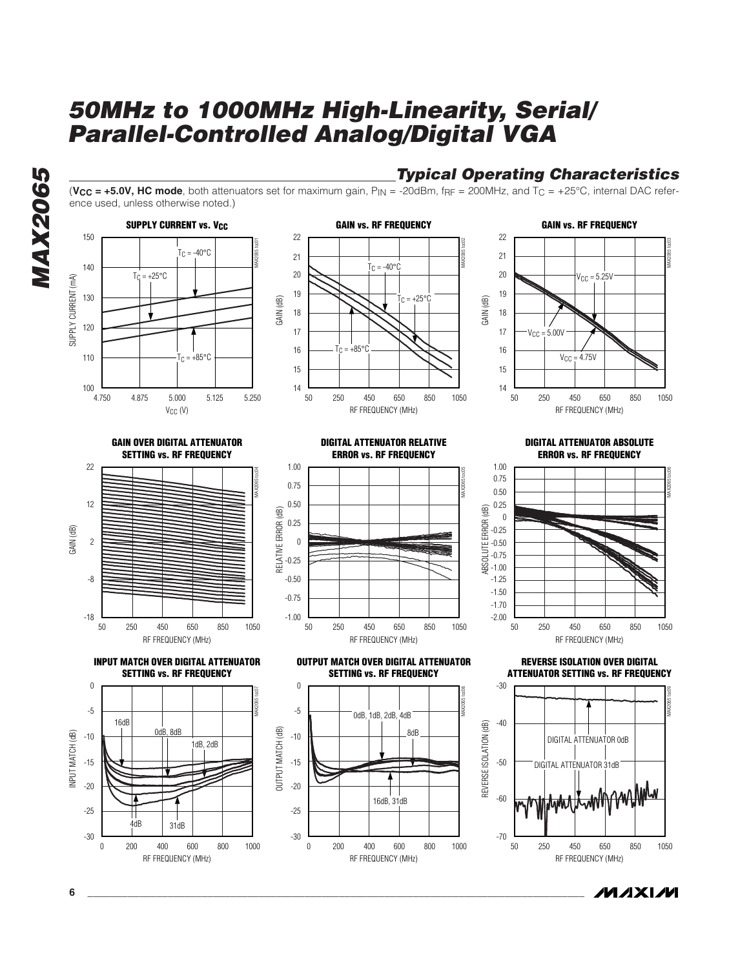**Typical Operating Characteristics** (**, <b>HC mode**, both attenuators set for maximum gain,  $P_{IN} = -20dBr$ ,  $f_{RF} = 200MHz$ , and  $T_C = +25°C$ , internal DAC reference used, unless otherwise noted.)



**MAX2065 MAX2065** 





**6 \_\_\_\_\_\_\_\_\_\_\_\_\_\_\_\_\_\_\_\_\_\_\_\_\_\_\_\_\_\_\_\_\_\_\_\_\_\_\_\_\_\_\_\_\_\_\_\_\_\_\_\_\_\_\_\_\_\_\_\_\_\_\_\_\_\_\_\_\_\_\_\_\_\_\_\_\_\_\_\_\_\_\_\_\_\_\_**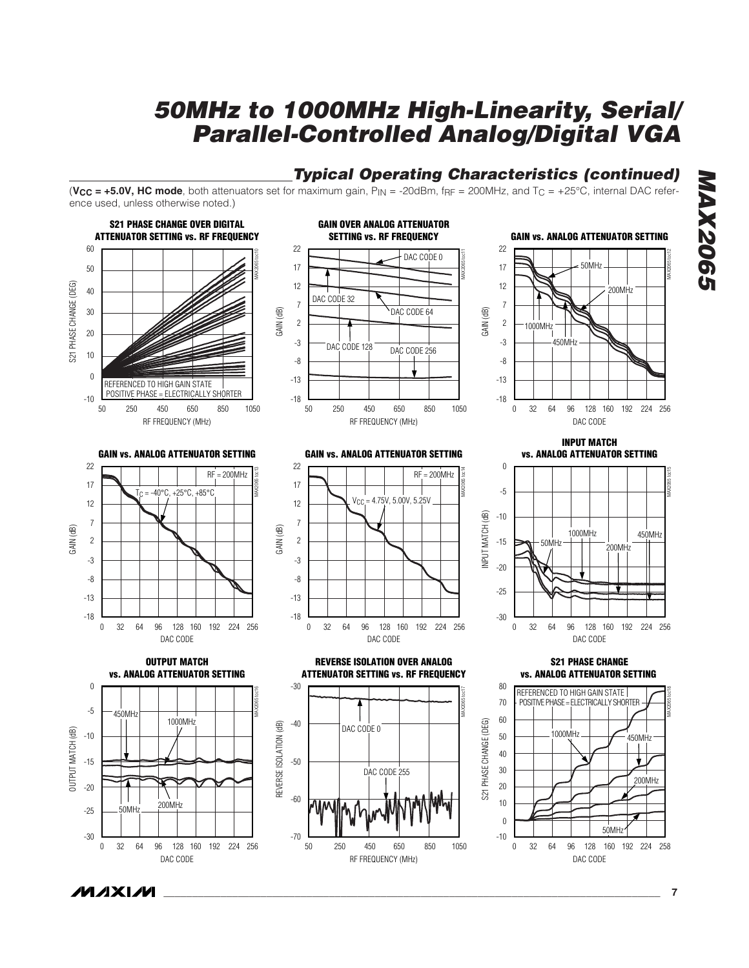### **Typical Operating Characteristics (continued)**

(**, <b>HC mode**, both attenuators set for maximum gain,  $P_{IN} = -20dBr$ ,  $f_{RF} = 200MHz$ , and  $T_C = +25°C$ , internal DAC reference used, unless otherwise noted.)



**MAX2065 MAX2065**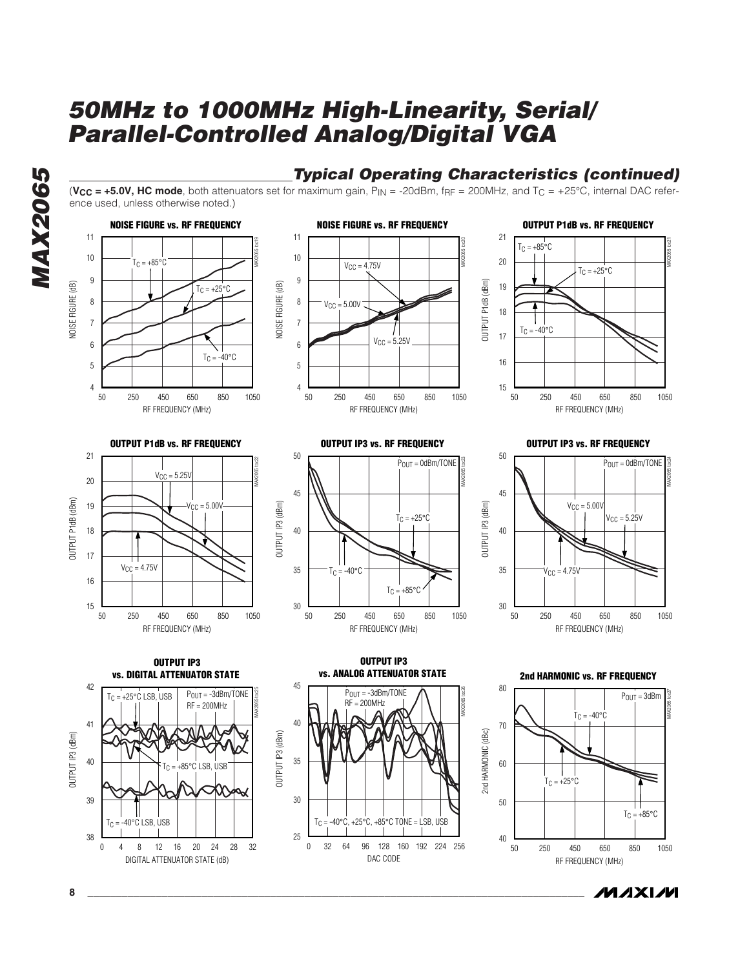(**, <b>HC mode**, both attenuators set for maximum gain,  $P_{IN} = -20dBr$ ,  $f_{RF} = 200MHz$ , and  $T_C = +25°C$ , internal DAC refer-

**Typical Operating Characteristics (continued)**

**MAX2065 MAX2065** 

#### ence used, unless otherwise noted.) **NOISE FIGURE vs. RF FREQUENCY NOISE FIGURE vs. RF FREQUENCY OUTPUT P1dB vs. RF FREQUENCY**  11 11 21 MAX2065 toc19 MAX2065 toc20  $T_C = +85^{\circ}C$ 10 10  $T_C = +85^\circ C$ 20  $V_{CC} = 4.75V$  $T_C = +25^\circ C$ 9 9 OUTPUT P1dB (dBm) OUTPUT P1dB (dBm) NOISE FIGURE (dB) NOISE FIGURE (dB) 19 NOISE FIGURE (dB)  $T_C = +25^{\circ}C$ NOISE FIGURE (dB) 8 8  $V_{CC} = 5.00V$ 18 7 7  $T_C = -40^{\circ}C$ 17  $V_{CC} = 5.25V$ 6 6  $T_C = -40\degree C$ 16 5 5 4 4 15 250 450 650 850 250 450 650 850 250 450 650 850 50 250 450 650 850 1050 50 250 450 650 850 1050 50 250 450 650 850 1050 RF FREQUENCY (MHz) RF FREQUENCY (MHz) RF FREQUENCY (MHz) **OUTPUT P1dB vs. RF FREQUENCY OUTPUT IP3 vs. RF FREQUENCY OUTPUT IP3 vs. RF FREQUENCY**  21 50 50 MAX2065 toc22  $P_{OUT} = 0$ d $Bm/TONE$ MAX2065 toc23  $P_{OUT} = 0$ dBm/TONE  $V_{\text{CC}} = 5.25V$ 20 45 45 OUTPUT P1dB (dBm) OUTPUT P1dB (dBm)  $V_{\text{CC}} = 5.00V$  $V_{\text{CC}} = 5.00 \overline{V}$ 19 OUTPUT IP3 (dBm) OUTPUT IP3 (dBm) OUTPUT IP3 (dBm) OUTPUT IP3 (dBm  $T_C = +25^{\circ}C$  $V_{\text{CC}} = 5.25V$ 40 18 40 17  $V_{CC} = 4.75V$ 35 35  $T_{\text{C}} = -40^{\circ} \text{C}$  $V_{CC} = 4.75V$ 16  $T_C = +85^{\circ}C$ 15 30 30 250 450 650 850 250 450 650 850 250 450 650 850 50 250 450 650 850 1050 50 250 450 650 850 1050 RF FREQUENCY (MHz) RF FREQUENCY (MHz) RF FREQUENCY (MHz) **OUTPUT IP3 OUTPUT IP3 vs. ANALOG ATTENUATOR STATE vs. DIGITAL ATTENUATOR STATE 2nd HARMONIC vs. RF FREQUENCY**  42 45 80  $P_{OUT} = 3d$ Bm/TONE  $P_{OUT} = -3dBm/TONE$ MAX2065 toc26 MAX2065 toc25  $T_C = +25^{\circ}C$  LSB, USB  $P_{OUT} = 3d$ Bm  $RF = 200MHz$ RF = 200MHz  $T_C = -40\degree C$ 40 41 70 2nd HARMONIC (dBc) OUTPUT IP3 (dBm) 2nd HARMONIC (dBc) OUTPUT IP3 (dBm) OUTPUT IP3 (dBm) OUTPUT IP3 (dBm) 35 40 60  $F$ 85°C LSB, USB ≡  $T_C = +25^{\circ}C$ 39 30 50  $T_C = +85^{\circ}C$  $T_C = -40^\circ C$  LSB, USB  $T_C = -40\degree C$ ,  $+25\degree C$ ,  $+85\degree C$  TONE = LSB, USB 25 38 40 250 450 650 850 4 8 12 16 20 24 28 0 32 32 64 96 128 160 192 224 0 256 50 250 450 650 850 1050 DIGITAL ATTENUATOR STATE (dB) DAC CODE RF FREQUENCY (MHz)



MAX2065 toc27



MAX2065 toc21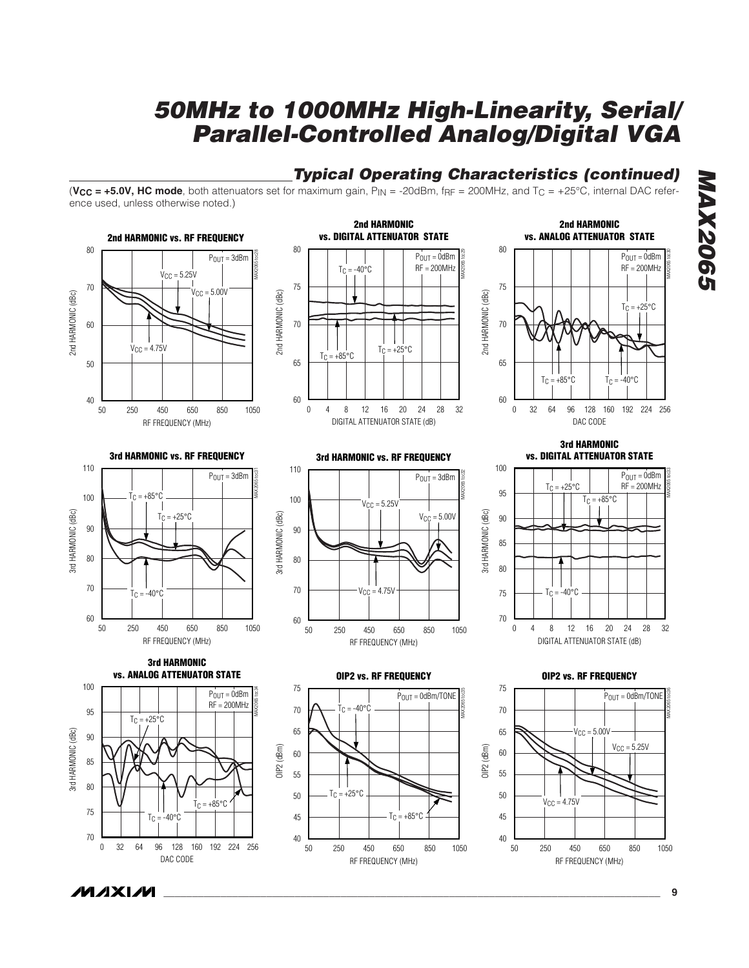#### **Typical Operating Characteristics (continued)**

(**, <b>HC mode**, both attenuators set for maximum gain,  $P_{IN} = -20dBr$ ,  $f_{RF} = 200MHz$ , and  $T_C = +25°C$ , internal DAC reference used, unless otherwise noted.)



RF FREQUENCY (MHz)

50

250 450 650 850 1050

DAC CODE

**MAXM** 

MAX2065 toc30

**MAX2065**

**MAX2065** 

RF FREQUENCY (MHz)

250 450 650 850

50 250 450 650 850 1050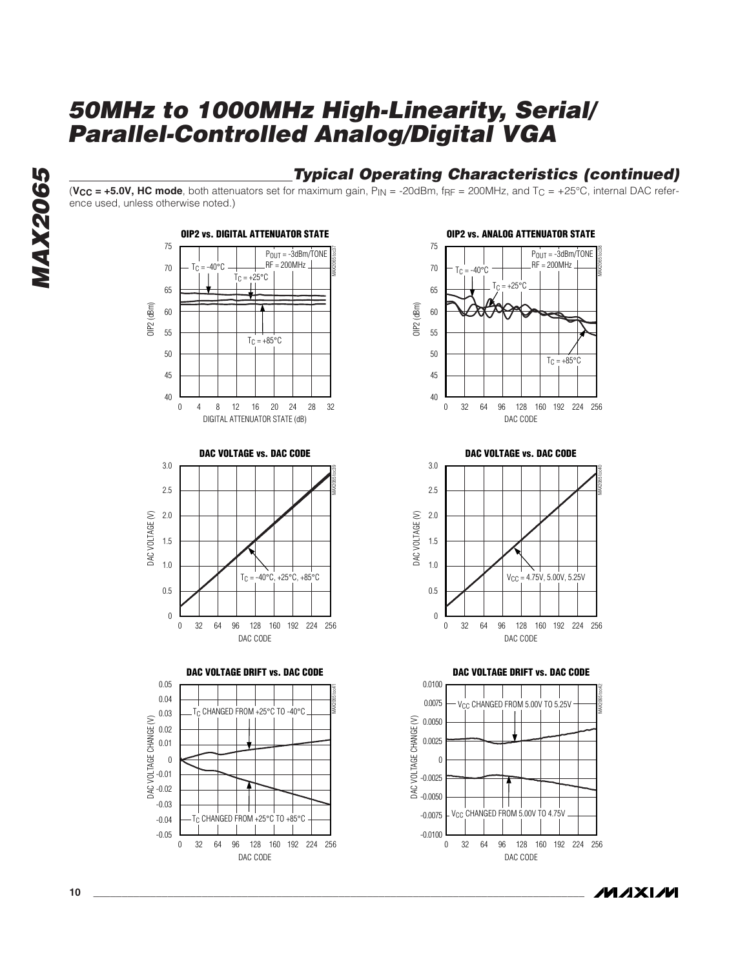#### **Typical Operating Characteristics (continued)**

(**, <b>HC mode**, both attenuators set for maximum gain,  $P_{IN} = -20dBr$ ,  $f_{RF} = 200MHz$ , and  $T_C = +25°C$ , internal DAC reference used, unless otherwise noted.)

















**MAXIM** 



**MAX2065**

**MAX2065**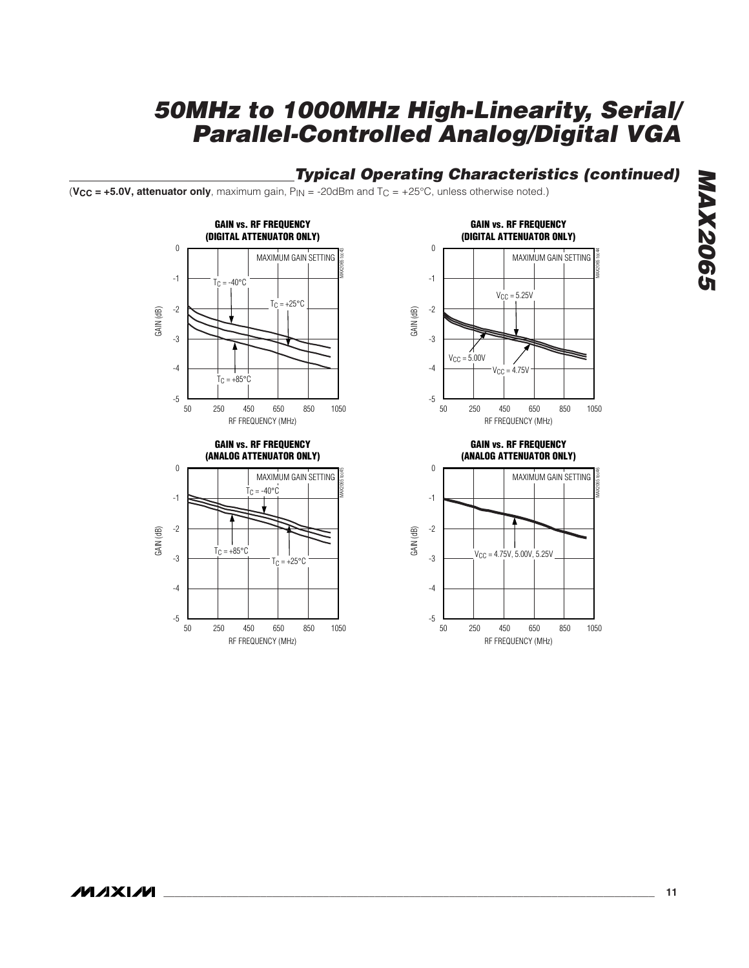#### **Typical Operating Characteristics (continued)**

(**VCC = +5.0V, attenuator only**, maximum gain, PIN = -20dBm and TC = +25°C, unless otherwise noted.)



RF FREQUENCY (MHz)

 $T_C = +85^{\circ}C$ 

250 450 650 850 1050

 $+25^{\circ}$ C



**GAIN vs. RF FREQUENCY (ANALOG ATTENUATOR ONLY)**



GAIN (dB)

-5

50

-2

-3

-4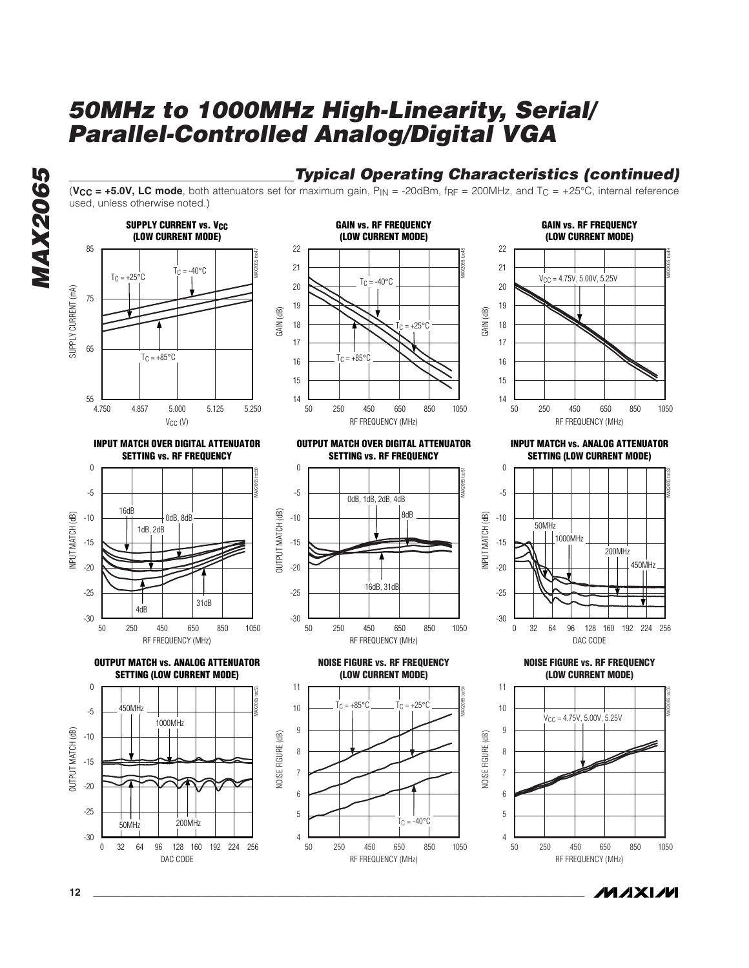**MAX2065 MAX2065** 



**INPUT MATCH OVER DIGITAL ATTENUATOR SETTING vs. RF FREQUENCY**



**OUTPUT MATCH vs. ANALOG ATTENUATOR SETTING (LOW CURRENT MODE)**





(**, LC mode, both attenuators set for maximum gain,**  $P_{IN} = -20$ **dBm, f** $p_F = 200$ **MHz, and**  $T_C = +25^{\circ}$ **C, internal reference** 

**OUTPUT MATCH OVER DIGITAL ATTENUATOR SETTING vs. RF FREQUENCY**



**NOISE FIGURE vs. RF FREQUENCY (LOW CURRENT MODE)**



**GAIN vs. RF FREQUENCY (LOW CURRENT MODE)**

**Typical Operating Characteristics (continued)**

GAIN (dB)



**INPUT MATCH vs. ANALOG ATTENUATOR SETTING (LOW CURRENT MODE)**



**NOISE FIGURE vs. RF FREQUENCY (LOW CURRENT MODE)**



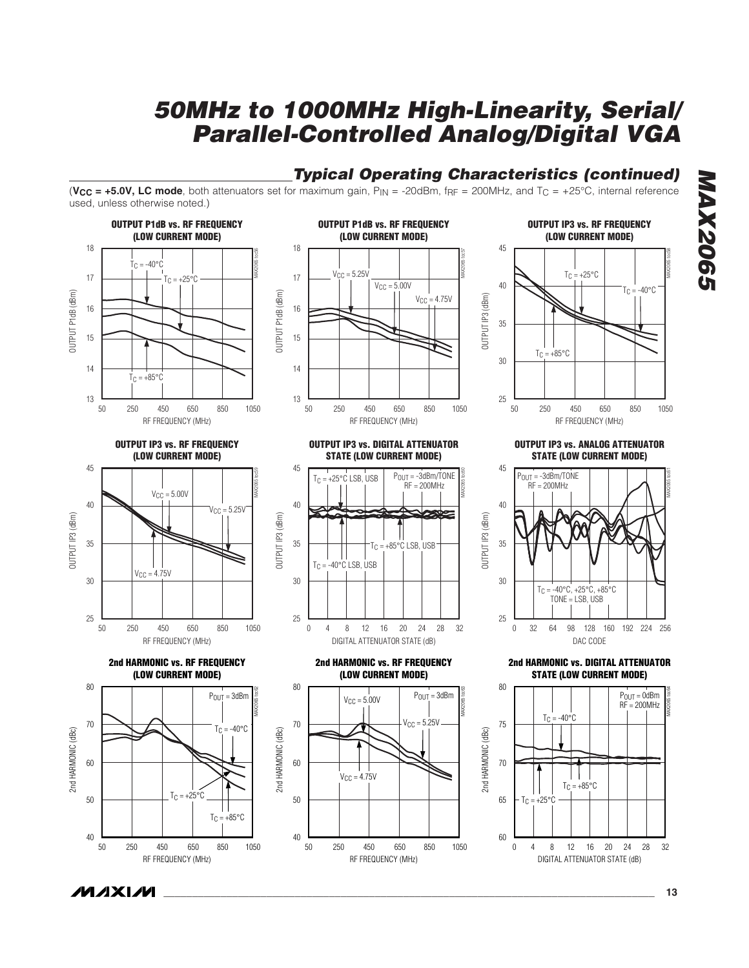### **Typical Operating Characteristics (continued)**

(**, LC mode, both attenuators set for maximum gain,**  $P_{IN} = -20$ **dBm, f** $p_F = 200$ **MHz, and**  $T_C = +25^{\circ}$ **C, internal reference** used, unless otherwise noted.)



**MAXM** 

**MAX2065 MAX2065** 

**\_\_\_\_\_\_\_\_\_\_\_\_\_\_\_\_\_\_\_\_\_\_\_\_\_\_\_\_\_\_\_\_\_\_\_\_\_\_\_\_\_\_\_\_\_\_\_\_\_\_\_\_\_\_\_\_\_\_\_\_\_\_\_\_\_\_\_\_\_\_\_\_\_\_\_\_\_\_\_\_\_\_\_\_\_\_ 13**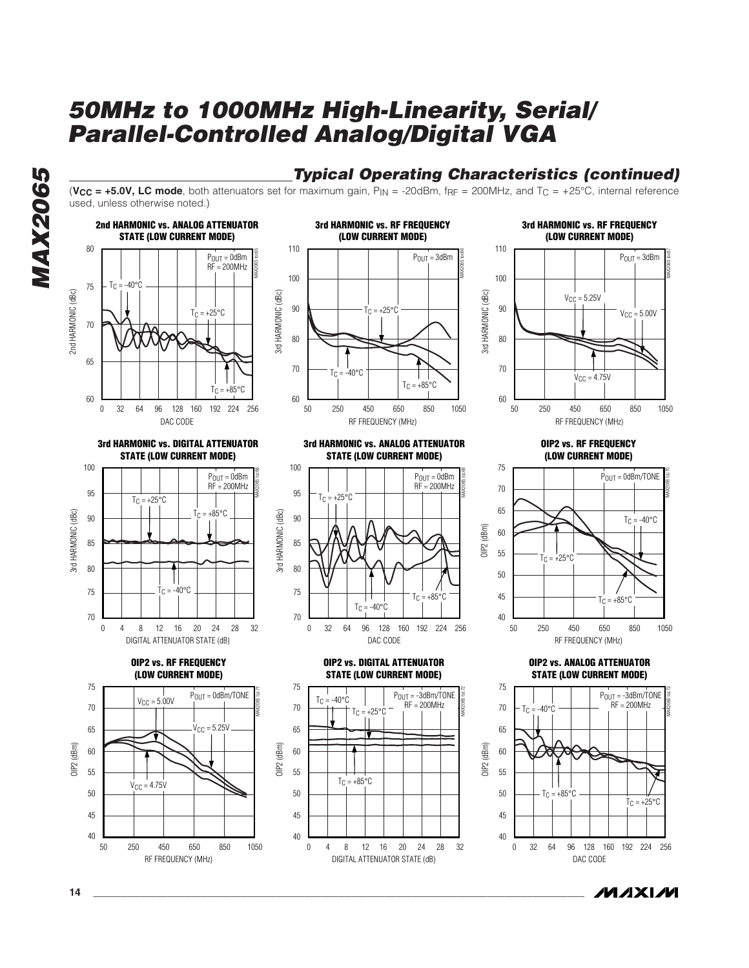





(**, LC mode, both attenuators set for maximum gain,**  $P_{IN} = -20$ **dBm, f** $p_F = 200$ **MHz, and**  $T_C = +25^{\circ}$ **C, internal reference** 

**(LOW CURRENT MODE)**

**3rd HARMONIC vs. ANALOG ATTENUATOR STATE (LOW CURRENT MODE)**



**OIP2 vs. DIGITAL ATTENUATOR STATE (LOW CURRENT MODE)**

 $T_C = +25^{\circ}C$ 

MAX2065 toc72

 $P_{OUT} = -3dBm/TONE$  $RF = 200MHz$ 

75

70 65 60  $T_C = -40$ °C

40

 $\Omega$ 

45 50 55

DIGITAL ATTENUATOR STATE (dB)

 $T_C = +85^{\circ}C$ 

4 8 12 16 20 24 28 32



**3rd HARMONIC vs. RF FREQUENCY**

MAX2065 toc67

**Typical Operating Characteristics (continued)**



**OIP2 vs. RF FREQUENCY (LOW CURRENT MODE)**



**OIP2 vs. ANALOG ATTENUATOR STATE (LOW CURRENT MODE)**



*IVI A* XI*IV*I



**OIP2 vs. RF FREQUENCY (LOW CURRENT MODE)**

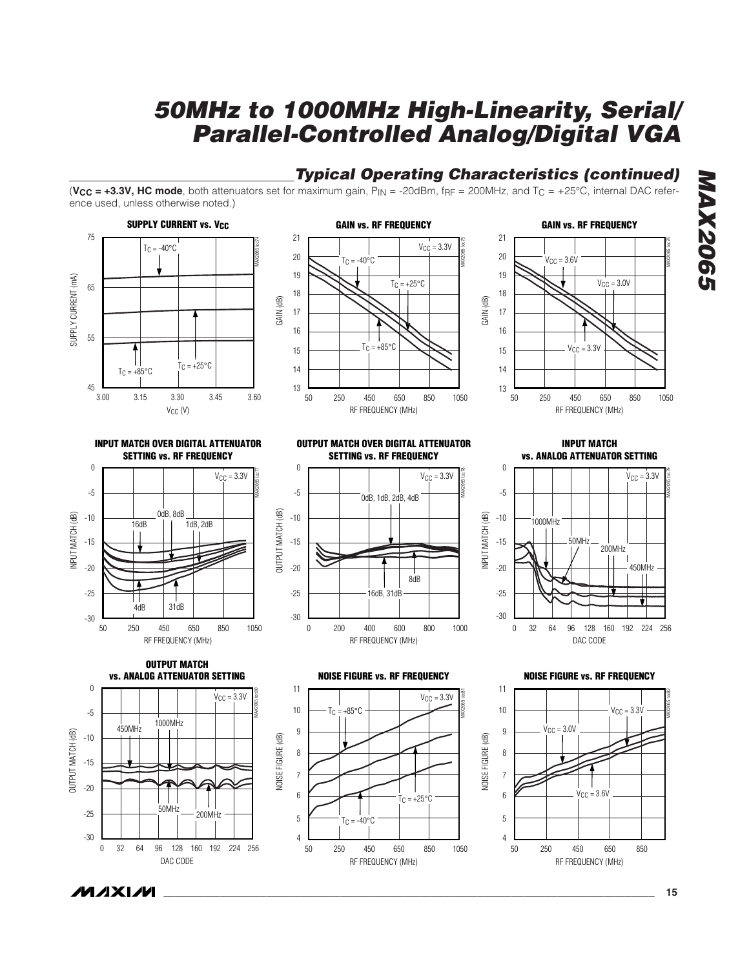#### **Typical Operating Characteristics (continued)**

GAIN (dB)

(**, HC mode, both attenuators set for maximum gain,**  $P_{IN} = -20dBr$ **,**  $f_{RF} = 200MHz$ **, and**  $T_C = +25°C$ **, internal DAC refer**ence used, unless otherwise noted.)





**OUTPUT MATCH OVER DIGITAL ATTENUATOR SETTING vs. RF FREQUENCY**

#### **GAIN vs. RF FREQUENCY** RF FREQUENCY (MHz) 250 450 650 850 1050 21 13 18 17 19 20 16 15 14 50 MAX2065 toc76  $V_{CC} = 3.6V$  $V_{CC} = 3.3V$  $V_{\text{CC}} = 3.0V$

**INPUT MATCH OVER DIGITAL ATTENUATOR SETTING vs. RF FREQUENCY**



0 MAX2065 toc78  $V_{CC} = 3.3V$ -5 0dB, 1dB, 2dB, 4dB OUTPUT MATCH (dB) OUTPUT MATCH (dB) -10 -15 -20 8dB -25 16dB, 31dB -30 0 200 400 600 800 1000 RF FREQUENCY (MHz)

**INPUT MATCH vs. ANALOG ATTENUATOR SETTING**







**NOISE FIGURE vs. RF FREQUENCY**

11

10

9 8 7

4

50

6 5



**NOISE FIGURE vs. RF FREQUENCY**



**MAX2065 MAX2065**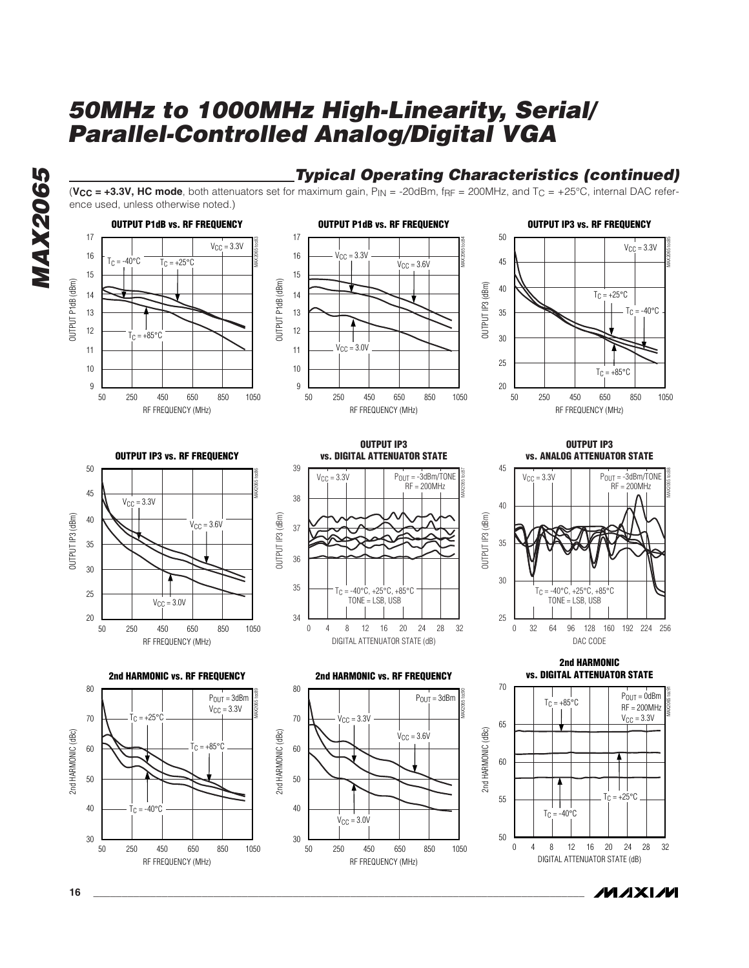**Typical Operating Characteristics (continued)**

**MAX2065 MAX2065** 

#### (**VCC = +3.3V, HC mode**, both attenuators set for maximum gain, PIN = -20dBm, fRF = 200MHz, and TC = +25°C, internal DAC reference used, unless otherwise noted.) **OUTPUT P1dB vs. RF FREQUENCY OUTPUT P1dB vs. RF FREQUENCY OUTPUT IP3 vs. RF FREQUENCY** 17 17 50 MAX2065 toc83 MAX2065 toc84  $V_{CC} = 3.3V$  $V_{CC} = 3.3V$ 16  $V_{\text{CC}} = 3.3V$ 16  $T_C = -40$ °C  $T_{\text{C}} = +25^{\circ}\text{C}$ 45  $V_{CC} = 3.6V$ 15 15 OUTPUT P1dB (dBm) OUTPUT P1dB (dBm) OUTPUT P1dB (dBm) OUTPUT P1dB (dBm) 40 OUTPUT IP3 (dBm) OUTPUT IP3 (dBm) 14  $T_C = +25^{\circ}C$ 14  $T_C = -40^{\circ}$ C 13 13 35 12 12  $T_C = +85^{\circ}$ C 30  $V_{CC} = 3.0V$ 11 11 25 10 10  $T_{C} = +85^{\circ}C$ 9 9 20 50 250 450 650 850 1050 50 250 450 650 850 1050 50 250 450 650 850 1050 RF FREQUENCY (MHz) RF FREQUENCY (MHz) RF FREQUENCY (MHz) **OUTPUT IP3 OUTPUT IP3 OUTPUT IP3 vs. RF FREQUENCY vs. DIGITAL ATTENUATOR STATE vs. ANALOG ATTENUATOR STATE** 50 39 45 MAX2065 toc87 MAX2065 toc86  $P_{OUT} = -3dBm/TONE$  $P_{OUT} = -3dBm/TONE$  $V_{\text{CC}} = 3.3V$  $V_{C}$  =  $3.3V$ RF = 200MHz RF = 200MHz 45 38  $V_{CC} = 3.3V$ 40 OUTPUT IP3 (dBm) OUTPUT IP3 (dBm) OUTPUT IP3 (dBm) OUTPUT IP3 (dBm) OUTPUT IP3 (dBm) 40 OUTPUT IP3 (dBm)  $V_{CC} = 3.6V$ 37 35 35 36 30 30 35  $T_C = -40\degree C, +25\degree C, +85\degree C$  $T_C = -40°C, +25°C, +85°C$ 25 TONE = LSB, USB TONE = LSB, USB  $V_{CC} = 3.0V$ 20 34 25 0 0 32 64 96 128 160 192 224 256 250 450 650 850 1050 50 4 8 12 16 20 24 28 32 DAC CODE RF FREQUENCY (MHz) DIGITAL ATTENUATOR STATE (dB) **2nd HARMONIC vs. DIGITAL ATTENUATOR STATE 2nd HARMONIC vs. RF FREQUENCY 2nd HARMONIC vs. RF FREQUENCY** 70 80 80 MAX2065 toc89 MAX2065 toc90  $P_{OUT} = 3d$ Bm  $P_{OUT} = 3$ dBm  $P_{OUT} = 0$ d $Bm$  $T_C = +85^{\circ}C$ RF = 200MHz  $V_{\text{CC}} = 3.3V$  $= +25^{\circ}$  $V_{CC} = 3.3V$  $V_{CC} = 3.3V$ 70 70 65 2nd HARMONIC (dBc) 2nd HARMONIC (dBc) 2nd HARMONIC (dBc) 2nd HARMONIC (dBc) 2nd HARMONIC (dBc) 2nd HARMONIC (dBc)  $V_{CC} = 3.6V$  $= +85^{\circ}$ C 60 60 60 50 50  $\vert \vert$  $\Gamma_{C} = +25^{\circ}$ C 55 ┯ 40 40  $-40^{\circ}$ C  $T_C = -40$ °C  $V_{\text{CC}} = 3.0V$ 30 30 50  $\overline{0}$ 4 8 12 16 20 24 28 32 50 250 450 650 850 1050 50 250 450 650 850 1050

RF FREQUENCY (MHz)

MAX2065 toc85

MAX2065 toc88

MAX2065 toc91

DIGITAL ATTENUATOR STATE (dB)

**MAXIM** 

**16 \_\_\_\_\_\_\_\_\_\_\_\_\_\_\_\_\_\_\_\_\_\_\_\_\_\_\_\_\_\_\_\_\_\_\_\_\_\_\_\_\_\_\_\_\_\_\_\_\_\_\_\_\_\_\_\_\_\_\_\_\_\_\_\_\_\_\_\_\_\_\_\_\_\_\_\_\_\_\_\_\_\_\_\_\_\_**

RF FREQUENCY (MHz)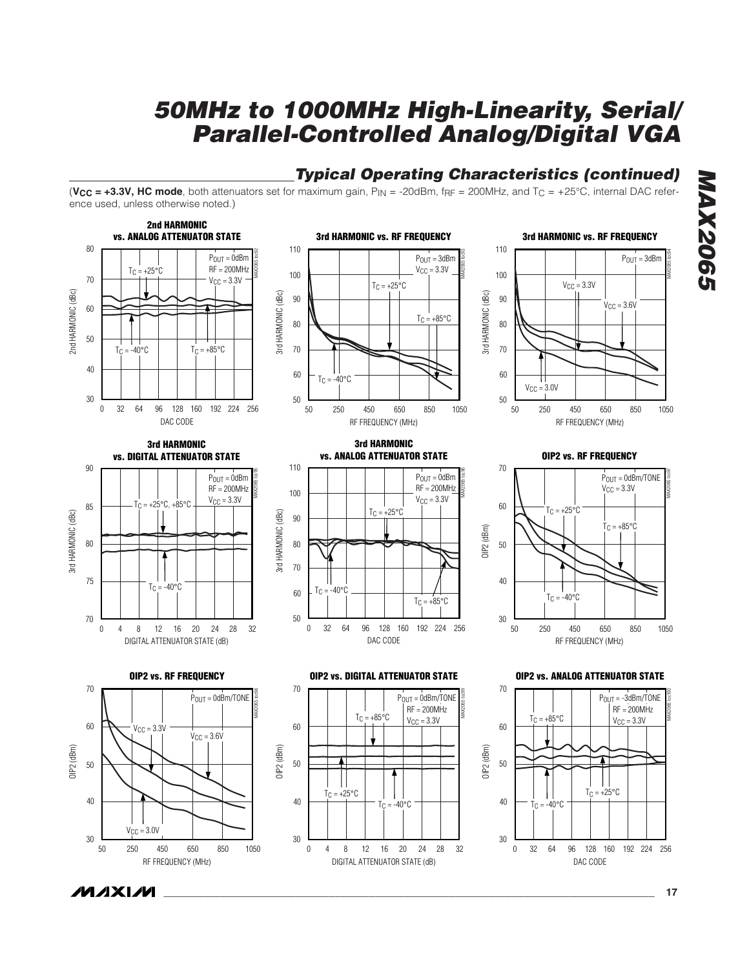### **Typical Operating Characteristics (continued)**

(**, HC mode, both attenuators set for maximum gain,**  $P_{IN} = -20dBr$ **,**  $f_{RF} = 200MHz$ **, and**  $T_C = +25°C$ **, internal DAC refer**ence used, unless otherwise noted.)



**MAX2065 MAX2065** 

**MAXM**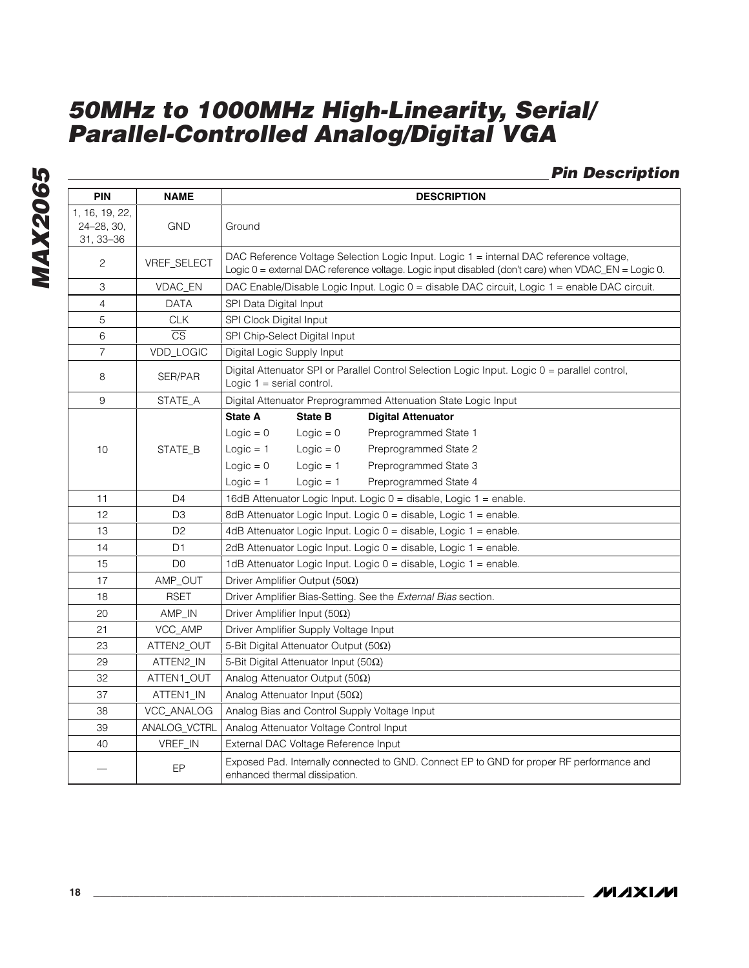#### **Pin Description**

| <b>PIN</b>                                | <b>NAME</b>             | <b>DESCRIPTION</b>                                                                                                                                                                                                                 |
|-------------------------------------------|-------------------------|------------------------------------------------------------------------------------------------------------------------------------------------------------------------------------------------------------------------------------|
| 1, 16, 19, 22,<br>24-28, 30,<br>31, 33-36 | <b>GND</b>              | Ground                                                                                                                                                                                                                             |
| $\mathbf{2}$                              | VREF_SELECT             | DAC Reference Voltage Selection Logic Input. Logic 1 = internal DAC reference voltage,<br>Logic 0 = external DAC reference voltage. Logic input disabled (don't care) when VDAC_EN = Logic 0.                                      |
| 3                                         | VDAC_EN                 | DAC Enable/Disable Logic Input. Logic 0 = disable DAC circuit, Logic 1 = enable DAC circuit.                                                                                                                                       |
| $\overline{4}$                            | <b>DATA</b>             | SPI Data Digital Input                                                                                                                                                                                                             |
| 5                                         | <b>CLK</b>              | SPI Clock Digital Input                                                                                                                                                                                                            |
| 6                                         | $\overline{\text{CS}}$  | SPI Chip-Select Digital Input                                                                                                                                                                                                      |
| $\boldsymbol{7}$                          | VDD_LOGIC               | Digital Logic Supply Input                                                                                                                                                                                                         |
| 8                                         | SER/PAR                 | Digital Attenuator SPI or Parallel Control Selection Logic Input. Logic 0 = parallel control,<br>Logic $1 =$ serial control.                                                                                                       |
| 9                                         | STATE_A                 | Digital Attenuator Preprogrammed Attenuation State Logic Input                                                                                                                                                                     |
| 10                                        | STATE B                 | <b>State A</b><br><b>State B</b><br><b>Digital Attenuator</b><br>$Logic = 0$<br>$Logic = 0$<br>Preprogrammed State 1<br>$Logic = 1$<br>$Logic = 0$<br>Preprogrammed State 2<br>$Logic = 0$<br>$Logic = 1$<br>Preprogrammed State 3 |
|                                           |                         | $Logic = 1$<br>$Logic = 1$<br>Preprogrammed State 4                                                                                                                                                                                |
| 11                                        | D <sub>4</sub>          | 16dB Attenuator Logic Input. Logic 0 = disable, Logic 1 = enable.                                                                                                                                                                  |
| 12                                        | D <sub>3</sub>          | 8dB Attenuator Logic Input. Logic 0 = disable, Logic 1 = enable.                                                                                                                                                                   |
| 13                                        | D <sub>2</sub>          | 4dB Attenuator Logic Input. Logic 0 = disable, Logic 1 = enable.                                                                                                                                                                   |
| 14                                        | D <sub>1</sub>          | 2dB Attenuator Logic Input. Logic 0 = disable, Logic 1 = enable.                                                                                                                                                                   |
| 15                                        | D <sub>0</sub>          | 1dB Attenuator Logic Input. Logic 0 = disable, Logic 1 = enable.                                                                                                                                                                   |
| 17                                        | AMP_OUT                 | Driver Amplifier Output (50Ω)                                                                                                                                                                                                      |
| 18                                        | <b>RSET</b>             | Driver Amplifier Bias-Setting. See the External Bias section.                                                                                                                                                                      |
| 20<br>21                                  | AMP_IN<br>VCC_AMP       | Driver Amplifier Input (50 $\Omega$ )                                                                                                                                                                                              |
| 23                                        |                         | Driver Amplifier Supply Voltage Input                                                                                                                                                                                              |
|                                           | ATTEN2_OUT              | 5-Bit Digital Attenuator Output (50Ω)                                                                                                                                                                                              |
| 29<br>32                                  | ATTEN2_IN<br>ATTEN1_OUT | 5-Bit Digital Attenuator Input (50 $\Omega$ )<br>Analog Attenuator Output (50 $\Omega$ )                                                                                                                                           |
| 37                                        | ATTEN1_IN               | Analog Attenuator Input (50 $\Omega$ )                                                                                                                                                                                             |
| 38                                        | VCC_ANALOG              | Analog Bias and Control Supply Voltage Input                                                                                                                                                                                       |
| 39                                        | ANALOG_VCTRL            | Analog Attenuator Voltage Control Input                                                                                                                                                                                            |
| 40                                        | VREF_IN                 | External DAC Voltage Reference Input                                                                                                                                                                                               |
|                                           |                         | Exposed Pad. Internally connected to GND. Connect EP to GND for proper RF performance and                                                                                                                                          |
|                                           | EP                      | enhanced thermal dissipation.                                                                                                                                                                                                      |

**MAX2065**

**MAX2065**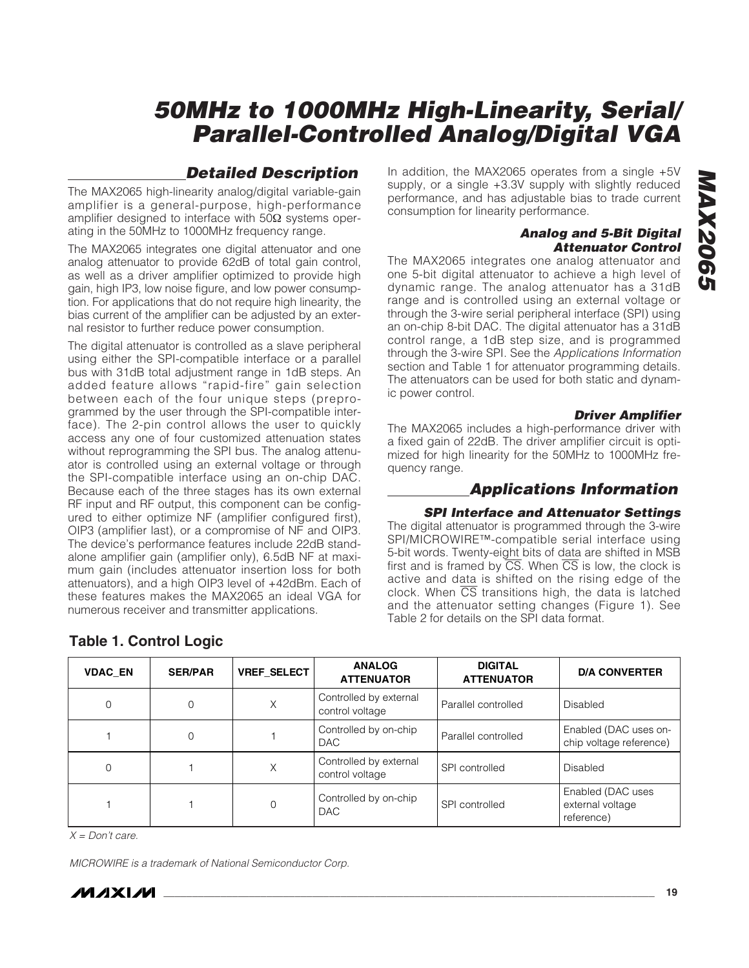#### **Detailed Description**

The MAX2065 high-linearity analog/digital variable-gain amplifier is a general-purpose, high-performance amplifier designed to interface with  $50Ω$  systems operating in the 50MHz to 1000MHz frequency range.

The MAX2065 integrates one digital attenuator and one analog attenuator to provide 62dB of total gain control, as well as a driver amplifier optimized to provide high gain, high IP3, low noise figure, and low power consumption. For applications that do not require high linearity, the bias current of the amplifier can be adjusted by an external resistor to further reduce power consumption.

The digital attenuator is controlled as a slave peripheral using either the SPI-compatible interface or a parallel bus with 31dB total adjustment range in 1dB steps. An added feature allows "rapid-fire" gain selection between each of the four unique steps (preprogrammed by the user through the SPI-compatible interface). The 2-pin control allows the user to quickly access any one of four customized attenuation states without reprogramming the SPI bus. The analog attenuator is controlled using an external voltage or through the SPI-compatible interface using an on-chip DAC. Because each of the three stages has its own external RF input and RF output, this component can be configured to either optimize NF (amplifier configured first), OIP3 (amplifier last), or a compromise of NF and OIP3. The device's performance features include 22dB standalone amplifier gain (amplifier only), 6.5dB NF at maximum gain (includes attenuator insertion loss for both attenuators), and a high OIP3 level of +42dBm. Each of these features makes the MAX2065 an ideal VGA for numerous receiver and transmitter applications.

#### **Analog and 5-Bit Digital Attenuator Control** The MAX2065 integrates one analog attenuator and

consumption for linearity performance.

one 5-bit digital attenuator to achieve a high level of dynamic range. The analog attenuator has a 31dB range and is controlled using an external voltage or through the 3-wire serial peripheral interface (SPI) using an on-chip 8-bit DAC. The digital attenuator has a 31dB control range, a 1dB step size, and is programmed through the 3-wire SPI. See the Applications Information section and Table 1 for attenuator programming details. The attenuators can be used for both static and dynamic power control.

In addition, the MAX2065 operates from a single +5V supply, or a single +3.3V supply with slightly reduced performance, and has adjustable bias to trade current

#### **Driver Amplifier**

The MAX2065 includes a high-performance driver with a fixed gain of 22dB. The driver amplifier circuit is optimized for high linearity for the 50MHz to 1000MHz frequency range.

#### **Applications Information**

#### **SPI Interface and Attenuator Settings**

The digital attenuator is programmed through the 3-wire SPI/MICROWIRE™-compatible serial interface using 5-bit words. Twenty-eight bits of data are shifted in MSB first and is framed by  $\overline{CS}$ . When  $\overline{CS}$  is low, the clock is active and data is shifted on the rising edge of the clock. When  $\overline{CS}$  transitions high, the data is latched and the attenuator setting changes (Figure 1). See Table 2 for details on the SPI data format.

| <b>VDAC EN</b> | <b>SER/PAR</b> | <b>VREF SELECT</b> | <b>ANALOG</b><br><b>ATTENUATOR</b>        | <b>DIGITAL</b><br><b>ATTENUATOR</b> | <b>D/A CONVERTER</b>                                |
|----------------|----------------|--------------------|-------------------------------------------|-------------------------------------|-----------------------------------------------------|
| 0              | 0              | Χ                  | Controlled by external<br>control voltage | Parallel controlled                 | <b>Disabled</b>                                     |
|                | 0              |                    | Controlled by on-chip<br><b>DAC</b>       | Parallel controlled                 | Enabled (DAC uses on-<br>chip voltage reference)    |
| 0              |                | X                  | Controlled by external<br>control voltage | SPI controlled                      | Disabled                                            |
|                |                | $\Omega$           | Controlled by on-chip<br><b>DAC</b>       | SPI controlled                      | Enabled (DAC uses<br>external voltage<br>reference) |

#### **Table 1. Control Logic**

 $X = Don't care.$ 

MICROWIRE is a trademark of National Semiconductor Corp.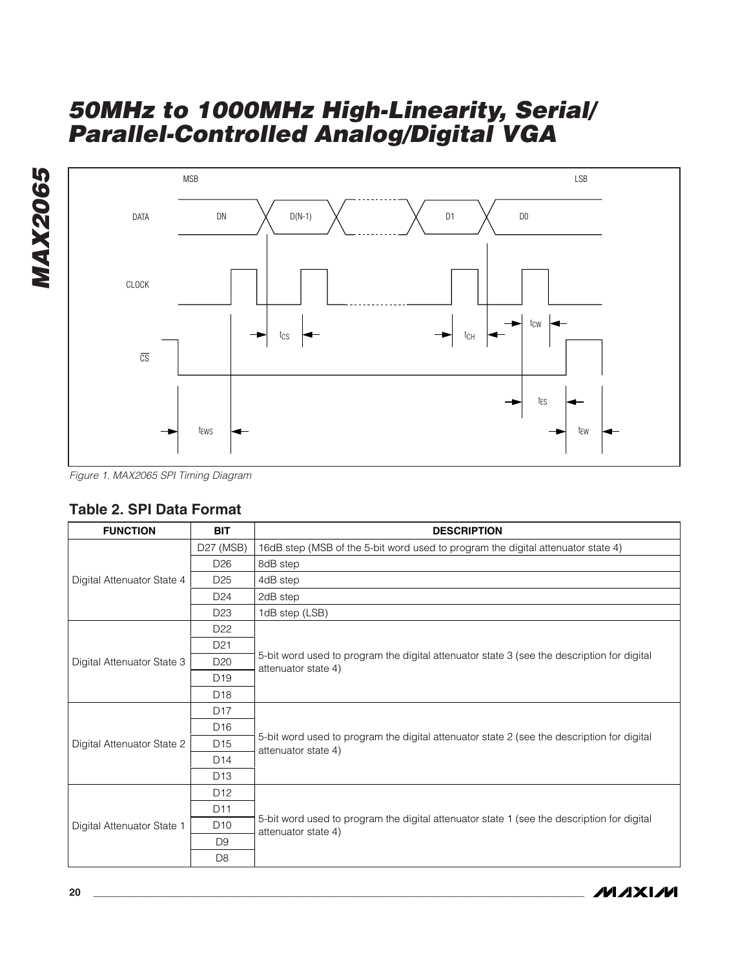

Figure 1. MAX2065 SPI Timing Diagram

#### **Table 2. SPI Data Format**

| <b>FUNCTION</b>            | <b>BIT</b>      | <b>DESCRIPTION</b>                                                                                                |
|----------------------------|-----------------|-------------------------------------------------------------------------------------------------------------------|
|                            | D27 (MSB)       | 16dB step (MSB of the 5-bit word used to program the digital attenuator state 4)                                  |
|                            | D <sub>26</sub> | 8dB step                                                                                                          |
| Digital Attenuator State 4 | D <sub>25</sub> | 4dB step                                                                                                          |
|                            | D <sub>24</sub> | 2dB step                                                                                                          |
|                            | D <sub>23</sub> | 1dB step (LSB)                                                                                                    |
|                            | D <sub>22</sub> |                                                                                                                   |
|                            | D <sub>21</sub> |                                                                                                                   |
| Digital Attenuator State 3 | D <sub>20</sub> | 5-bit word used to program the digital attenuator state 3 (see the description for digital<br>attenuator state 4) |
|                            | D <sub>19</sub> |                                                                                                                   |
|                            | D <sub>18</sub> |                                                                                                                   |
|                            | D <sub>17</sub> |                                                                                                                   |
|                            | D <sub>16</sub> |                                                                                                                   |
| Digital Attenuator State 2 | D <sub>15</sub> | 5-bit word used to program the digital attenuator state 2 (see the description for digital<br>attenuator state 4) |
|                            | D <sub>14</sub> |                                                                                                                   |
|                            | D <sub>13</sub> |                                                                                                                   |
|                            | D <sub>12</sub> |                                                                                                                   |
|                            | D <sub>11</sub> |                                                                                                                   |
| Digital Attenuator State 1 | D <sub>10</sub> | 5-bit word used to program the digital attenuator state 1 (see the description for digital<br>attenuator state 4) |
|                            | D <sub>9</sub>  |                                                                                                                   |
|                            | D <sub>8</sub>  |                                                                                                                   |

**MAX2065**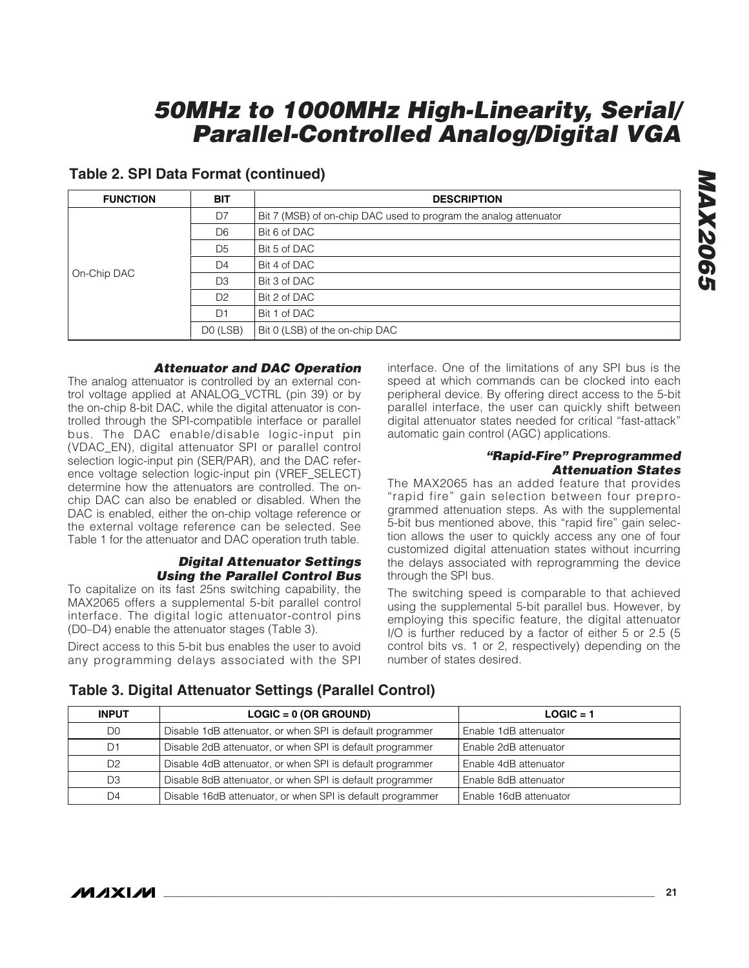| <b>FUNCTION</b> | <b>BIT</b>     | <b>DESCRIPTION</b>                                               |
|-----------------|----------------|------------------------------------------------------------------|
|                 | D7             | Bit 7 (MSB) of on-chip DAC used to program the analog attenuator |
|                 | D <sub>6</sub> | Bit 6 of DAC                                                     |
|                 | D <sub>5</sub> | Bit 5 of DAC                                                     |
| On-Chip DAC     | D <sub>4</sub> | Bit 4 of DAC                                                     |
|                 | D <sub>3</sub> | Bit 3 of DAC                                                     |
|                 | D <sub>2</sub> | Bit 2 of DAC                                                     |
|                 | D <sub>1</sub> | Bit 1 of DAC                                                     |
|                 | DO (LSB)       | Bit 0 (LSB) of the on-chip DAC                                   |

#### **Table 2. SPI Data Format (continued)**

#### **Attenuator and DAC Operation**

The analog attenuator is controlled by an external control voltage applied at ANALOG\_VCTRL (pin 39) or by the on-chip 8-bit DAC, while the digital attenuator is controlled through the SPI-compatible interface or parallel bus. The DAC enable/disable logic-input pin (VDAC\_EN), digital attenuator SPI or parallel control selection logic-input pin (SER/PAR), and the DAC reference voltage selection logic-input pin (VREF\_SELECT) determine how the attenuators are controlled. The onchip DAC can also be enabled or disabled. When the DAC is enabled, either the on-chip voltage reference or the external voltage reference can be selected. See Table 1 for the attenuator and DAC operation truth table.

#### **Digital Attenuator Settings Using the Parallel Control Bus**

To capitalize on its fast 25ns switching capability, the MAX2065 offers a supplemental 5-bit parallel control interface. The digital logic attenuator-control pins (D0–D4) enable the attenuator stages (Table 3).

Direct access to this 5-bit bus enables the user to avoid any programming delays associated with the SPI interface. One of the limitations of any SPI bus is the speed at which commands can be clocked into each peripheral device. By offering direct access to the 5-bit parallel interface, the user can quickly shift between digital attenuator states needed for critical "fast-attack" automatic gain control (AGC) applications.

#### **"Rapid-Fire" Preprogrammed Attenuation States**

The MAX2065 has an added feature that provides "rapid fire" gain selection between four preprogrammed attenuation steps. As with the supplemental 5-bit bus mentioned above, this "rapid fire" gain selection allows the user to quickly access any one of four customized digital attenuation states without incurring the delays associated with reprogramming the device through the SPI bus.

The switching speed is comparable to that achieved using the supplemental 5-bit parallel bus. However, by employing this specific feature, the digital attenuator I/O is further reduced by a factor of either 5 or 2.5 (5 control bits vs. 1 or 2, respectively) depending on the number of states desired.

#### **Table 3. Digital Attenuator Settings (Parallel Control)**

| <b>INPUT</b>   | $LOGIC = 0 (OR GROWND)$                                    | $LOGIC = 1$            |
|----------------|------------------------------------------------------------|------------------------|
| D0             | Disable 1dB attenuator, or when SPI is default programmer  | Enable 1dB attenuator  |
|                | Disable 2dB attenuator, or when SPI is default programmer  | Enable 2dB attenuator  |
| D <sub>2</sub> | Disable 4dB attenuator, or when SPI is default programmer  | Enable 4dB attenuator  |
| D3             | Disable 8dB attenuator, or when SPI is default programmer  | Enable 8dB attenuator  |
| D4             | Disable 16dB attenuator, or when SPI is default programmer | Enable 16dB attenuator |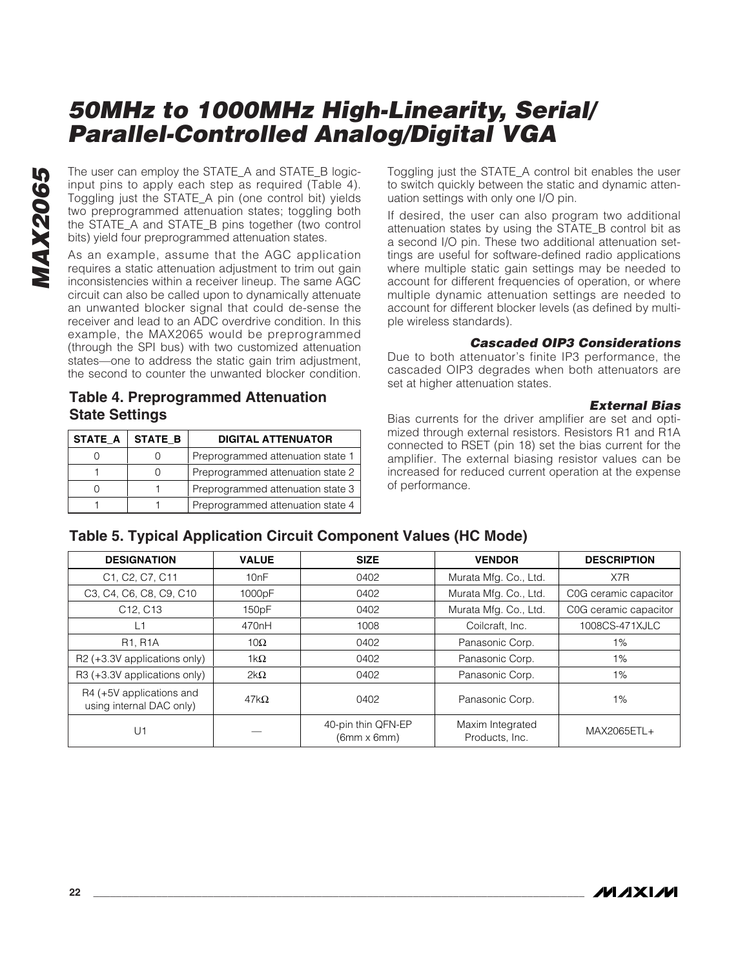The user can employ the STATE\_A and STATE\_B logicinput pins to apply each step as required (Table 4). Toggling just the STATE\_A pin (one control bit) yields two preprogrammed attenuation states; toggling both the STATE\_A and STATE\_B pins together (two control bits) yield four preprogrammed attenuation states.

As an example, assume that the AGC application requires a static attenuation adjustment to trim out gain inconsistencies within a receiver lineup. The same AGC circuit can also be called upon to dynamically attenuate an unwanted blocker signal that could de-sense the receiver and lead to an ADC overdrive condition. In this example, the MAX2065 would be preprogrammed (through the SPI bus) with two customized attenuation states—one to address the static gain trim adjustment, the second to counter the unwanted blocker condition.

**Table 4. Preprogrammed Attenuation State Settings**

| <b>STATE A</b> | <b>STATE B</b> | <b>DIGITAL ATTENUATOR</b>         |
|----------------|----------------|-----------------------------------|
|                |                | Preprogrammed attenuation state 1 |
|                |                | Preprogrammed attenuation state 2 |
|                |                | Preprogrammed attenuation state 3 |
|                |                | Preprogrammed attenuation state 4 |

Toggling just the STATE\_A control bit enables the user to switch quickly between the static and dynamic attenuation settings with only one I/O pin.

If desired, the user can also program two additional attenuation states by using the STATE\_B control bit as a second I/O pin. These two additional attenuation settings are useful for software-defined radio applications where multiple static gain settings may be needed to account for different frequencies of operation, or where multiple dynamic attenuation settings are needed to account for different blocker levels (as defined by multiple wireless standards).

#### **Cascaded OIP3 Considerations**

Due to both attenuator's finite IP3 performance, the cascaded OIP3 degrades when both attenuators are set at higher attenuation states.

#### **External Bias**

Bias currents for the driver amplifier are set and optimized through external resistors. Resistors R1 and R1A connected to RSET (pin 18) set the bias current for the amplifier. The external biasing resistor values can be increased for reduced current operation at the expense of performance.

#### **Table 5. Typical Application Circuit Component Values (HC Mode)**

| <b>DESIGNATION</b>                                   | <b>VALUE</b>       | <b>SIZE</b>                              | <b>VENDOR</b>                      | <b>DESCRIPTION</b>    |  |  |  |
|------------------------------------------------------|--------------------|------------------------------------------|------------------------------------|-----------------------|--|--|--|
| C1, C2, C7, C11                                      | 10nF               | 0402                                     | Murata Mfg. Co., Ltd.              | X7R                   |  |  |  |
| C3, C4, C6, C8, C9, C10                              | 1000pF             | 0402                                     | Murata Mfg. Co., Ltd.              | C0G ceramic capacitor |  |  |  |
| C12, C13                                             | 150pF              | 0402                                     | Murata Mfg. Co., Ltd.              | C0G ceramic capacitor |  |  |  |
| L1                                                   | 470 <sub>n</sub> H | 1008                                     | Coilcraft, Inc.                    | 1008CS-471XJLC        |  |  |  |
| <b>R1, R1A</b>                                       | 10 $\Omega$        | 0402                                     | Panasonic Corp.                    | $1\%$                 |  |  |  |
| R2 (+3.3V applications only)                         | 1k $\Omega$        | 0402                                     | Panasonic Corp.                    | 1%                    |  |  |  |
| R3 (+3.3V applications only)                         | $2k\Omega$         | 0402                                     | Panasonic Corp.                    | 1%                    |  |  |  |
| R4 (+5V applications and<br>using internal DAC only) | $47k\Omega$        | 0402                                     | Panasonic Corp.                    | 1%                    |  |  |  |
| U1                                                   |                    | 40-pin thin QFN-EP<br>$(6mm \times 6mm)$ | Maxim Integrated<br>Products, Inc. | MAX2065ETL+           |  |  |  |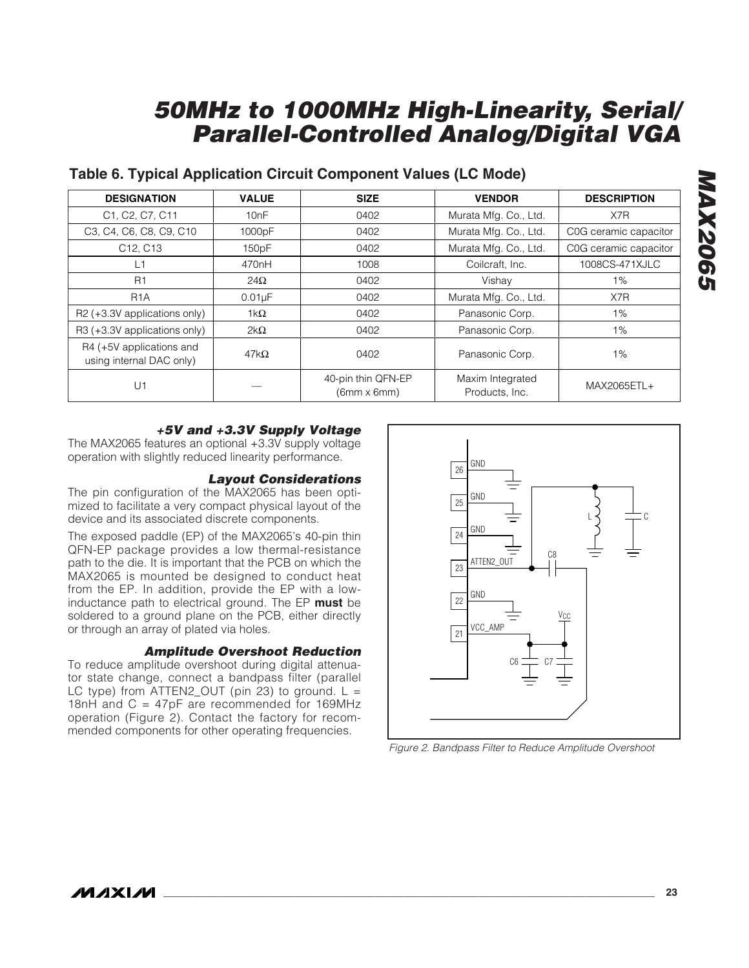#### **Table 6. Typical Application Circuit Component Values (LC Mode)**

| <b>DESIGNATION</b>                                   | <b>VALUE</b>       | <b>SIZE</b>                              | <b>VENDOR</b>                      | <b>DESCRIPTION</b>    |  |
|------------------------------------------------------|--------------------|------------------------------------------|------------------------------------|-----------------------|--|
| C1, C2, C7, C11                                      | 10nF               | 0402                                     | Murata Mfg. Co., Ltd.              | X7R                   |  |
| C3, C4, C6, C8, C9, C10                              | 1000pF             | 0402                                     | Murata Mfg. Co., Ltd.              | C0G ceramic capacitor |  |
| C <sub>12</sub> , C <sub>13</sub>                    | 150pF              | 0402                                     | Murata Mfg. Co., Ltd.              | C0G ceramic capacitor |  |
| L1                                                   | 470 <sub>n</sub> H | 1008                                     | Coilcraft, Inc.                    | 1008CS-471XJLC        |  |
| R <sub>1</sub>                                       | $24\Omega$         | 0402                                     | Vishay                             | 1%                    |  |
| R <sub>1</sub> A                                     | $0.01\mu F$        | 0402                                     | Murata Mfg. Co., Ltd.              | X7R                   |  |
| R2 (+3.3V applications only)                         | $1k\Omega$         | 0402                                     | Panasonic Corp.                    | $1\%$                 |  |
| R3 (+3.3V applications only)                         | $2k\Omega$         | 0402                                     | Panasonic Corp.                    | 1%                    |  |
| R4 (+5V applications and<br>using internal DAC only) | $47k\Omega$        | 0402                                     | Panasonic Corp.                    | 1%                    |  |
| U1                                                   |                    | 40-pin thin QFN-EP<br>$(6mm \times 6mm)$ | Maxim Integrated<br>Products, Inc. | MAX2065ETL+           |  |

#### **+5V and +3.3V Supply Voltage**

The MAX2065 features an optional +3.3V supply voltage operation with slightly reduced linearity performance.

#### **Layout Considerations**

The pin configuration of the MAX2065 has been optimized to facilitate a very compact physical layout of the device and its associated discrete components.

The exposed paddle (EP) of the MAX2065's 40-pin thin QFN-EP package provides a low thermal-resistance path to the die. It is important that the PCB on which the MAX2065 is mounted be designed to conduct heat from the EP. In addition, provide the EP with a lowinductance path to electrical ground. The EP **must** be soldered to a ground plane on the PCB, either directly or through an array of plated via holes.

#### **Amplitude Overshoot Reduction**

To reduce amplitude overshoot during digital attenuator state change, connect a bandpass filter (parallel LC type) from  $ATTEN2_OUT$  (pin 23) to ground.  $L =$ 18nH and C = 47pF are recommended for 169MHz operation (Figure 2). Contact the factory for recommended components for other operating frequencies.



Figure 2. Bandpass Filter to Reduce Amplitude Overshoot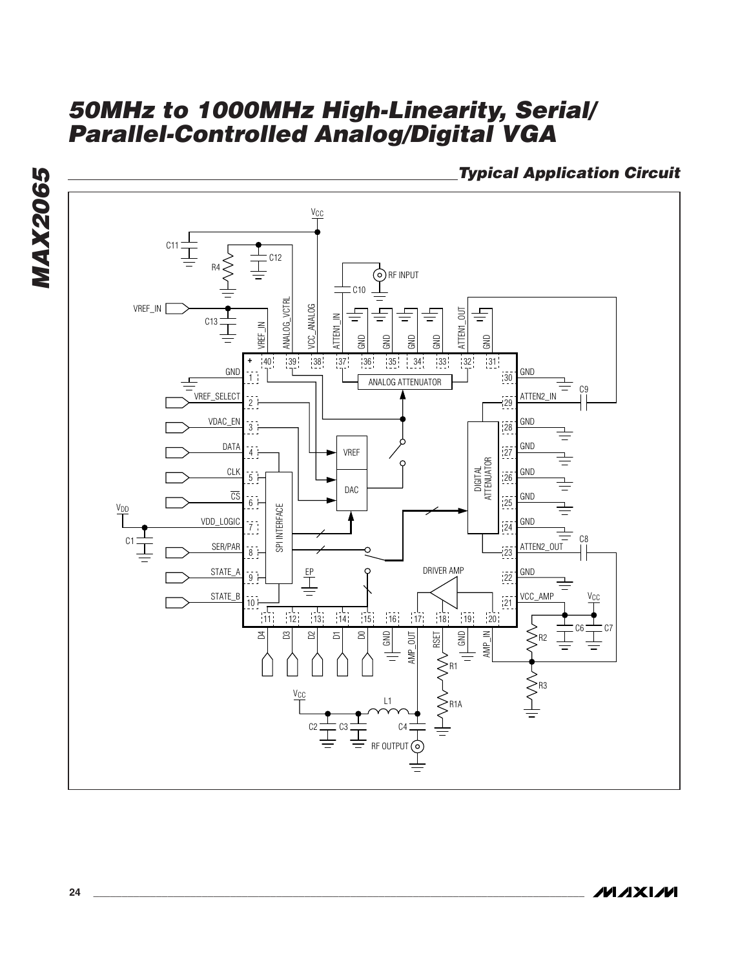**Typical Application Circuit**



**MAX2065**

**MAX2065**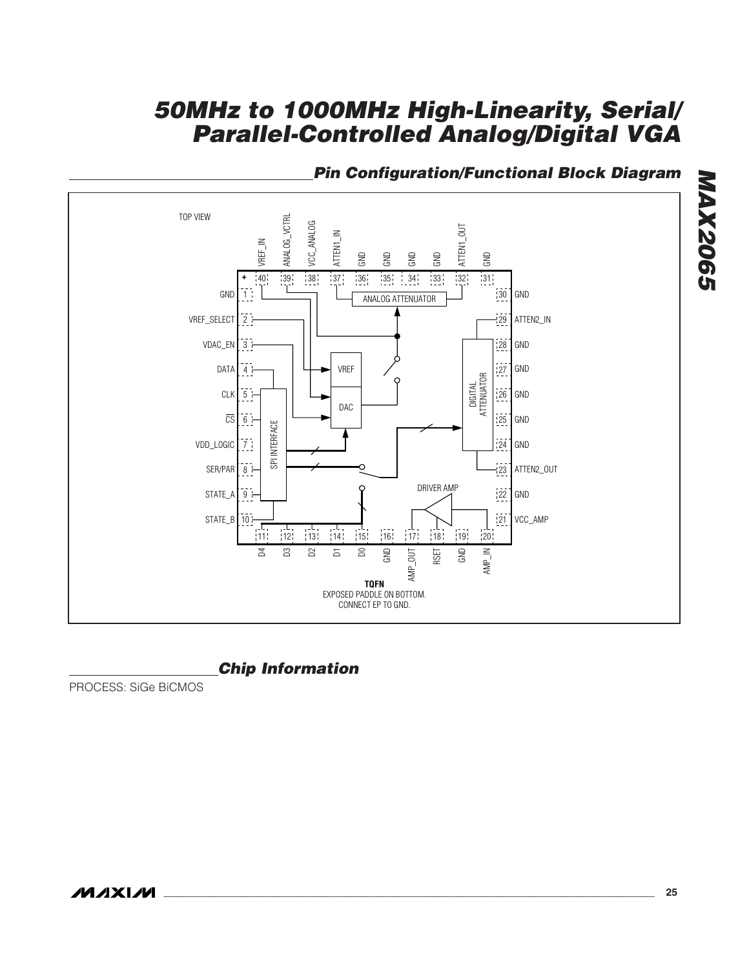

#### **Pin Configuration/Functional Block Diagram**

#### **Chip Information**

PROCESS: SiGe BiCMOS

**MAX2065**

**MAX2065**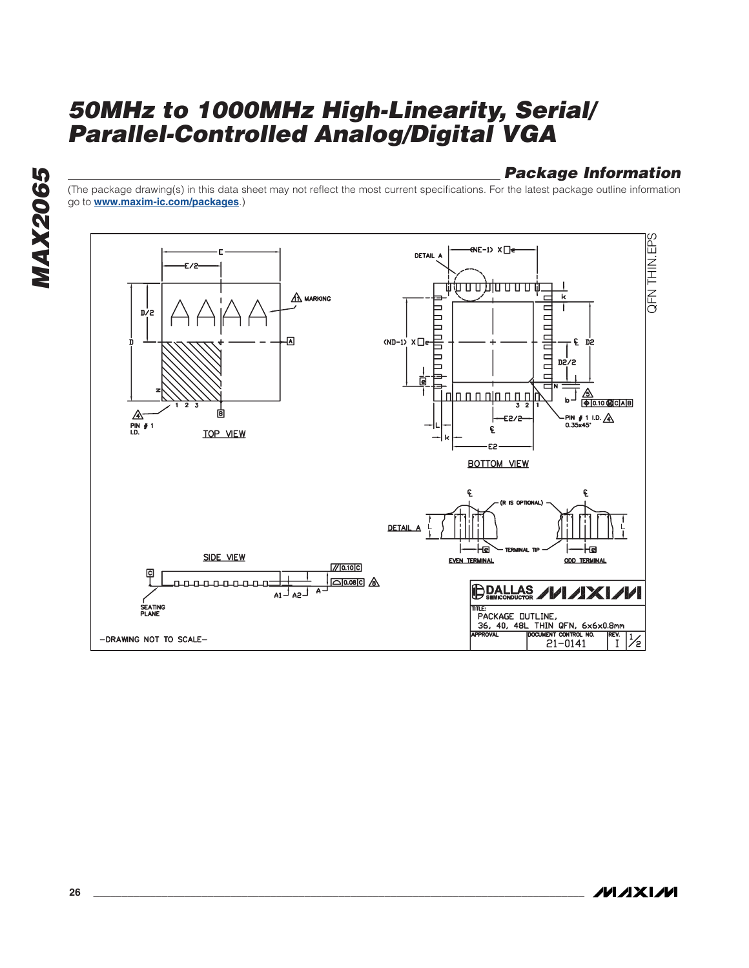#### **Package Information**

(The package drawing(s) in this data sheet may not reflect the most current specifications. For the latest package outline information go to **www.maxim-ic.com/packages**.)



**MAXM**